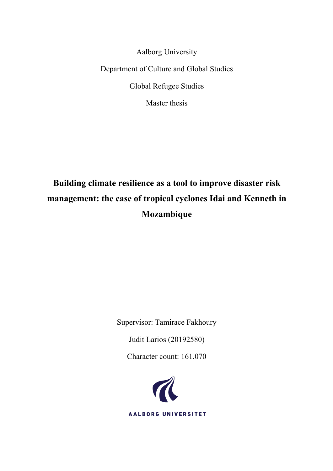Aalborg University Department of Culture and Global Studies Global Refugee Studies Master thesis

# **Building climate resilience as a tool to improve disaster risk management: the case of tropical cyclones Idai and Kenneth in Mozambique**

Supervisor: Tamirace Fakhoury

Judit Larios (20192580)

Character count: 161.070

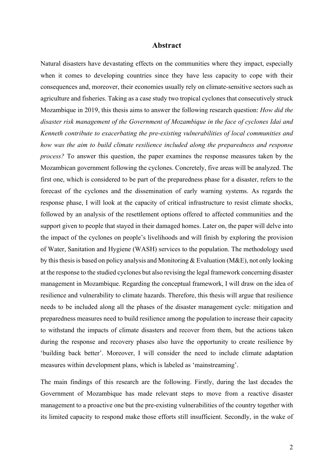# **Abstract**

Natural disasters have devastating effects on the communities where they impact, especially when it comes to developing countries since they have less capacity to cope with their consequences and, moreover, their economies usually rely on climate-sensitive sectors such as agriculture and fisheries. Taking as a case study two tropical cyclones that consecutively struck Mozambique in 2019, this thesis aims to answer the following research question: *How did the disaster risk management of the Government of Mozambique in the face of cyclones Idai and Kenneth contribute to exacerbating the pre-existing vulnerabilities of local communities and how was the aim to build climate resilience included along the preparedness and response process?* To answer this question, the paper examines the response measures taken by the Mozambican government following the cyclones. Concretely, five areas will be analyzed. The first one, which is considered to be part of the preparedness phase for a disaster, refers to the forecast of the cyclones and the dissemination of early warning systems. As regards the response phase, I will look at the capacity of critical infrastructure to resist climate shocks, followed by an analysis of the resettlement options offered to affected communities and the support given to people that stayed in their damaged homes. Later on, the paper will delve into the impact of the cyclones on people's livelihoods and will finish by exploring the provision of Water, Sanitation and Hygiene (WASH) services to the population. The methodology used by this thesis is based on policy analysis and Monitoring & Evaluation (M&E), not only looking at the response to the studied cyclones but also revising the legal framework concerning disaster management in Mozambique. Regarding the conceptual framework, I will draw on the idea of resilience and vulnerability to climate hazards. Therefore, this thesis will argue that resilience needs to be included along all the phases of the disaster management cycle: mitigation and preparedness measures need to build resilience among the population to increase their capacity to withstand the impacts of climate disasters and recover from them, but the actions taken during the response and recovery phases also have the opportunity to create resilience by 'building back better'. Moreover, I will consider the need to include climate adaptation measures within development plans, which is labeled as 'mainstreaming'.

The main findings of this research are the following. Firstly, during the last decades the Government of Mozambique has made relevant steps to move from a reactive disaster management to a proactive one but the pre-existing vulnerabilities of the country together with its limited capacity to respond make those efforts still insufficient. Secondly, in the wake of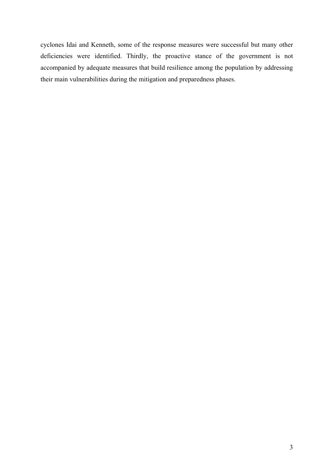cyclones Idai and Kenneth, some of the response measures were successful but many other deficiencies were identified. Thirdly, the proactive stance of the government is not accompanied by adequate measures that build resilience among the population by addressing their main vulnerabilities during the mitigation and preparedness phases.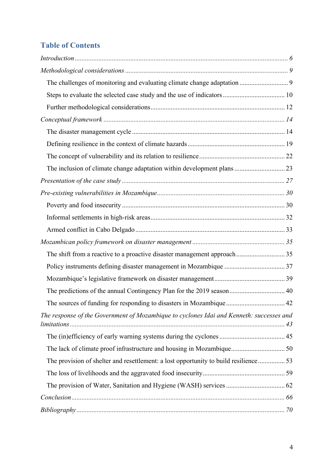# **Table of Contents**

| The challenges of monitoring and evaluating climate change adaptation  9                 |    |
|------------------------------------------------------------------------------------------|----|
|                                                                                          |    |
|                                                                                          |    |
|                                                                                          |    |
|                                                                                          |    |
|                                                                                          |    |
|                                                                                          |    |
| The inclusion of climate change adaptation within development plans  23                  |    |
|                                                                                          |    |
|                                                                                          |    |
|                                                                                          |    |
|                                                                                          |    |
|                                                                                          |    |
|                                                                                          |    |
| The shift from a reactive to a proactive disaster management approach 35                 |    |
|                                                                                          |    |
|                                                                                          |    |
| The predictions of the annual Contingency Plan for the 2019 season 40                    |    |
|                                                                                          | 42 |
| The response of the Government of Mozambique to cyclones Idai and Kenneth: successes and |    |
|                                                                                          |    |
|                                                                                          |    |
| The provision of shelter and resettlement: a lost opportunity to build resilience 53     |    |
|                                                                                          |    |
|                                                                                          |    |
|                                                                                          |    |
|                                                                                          |    |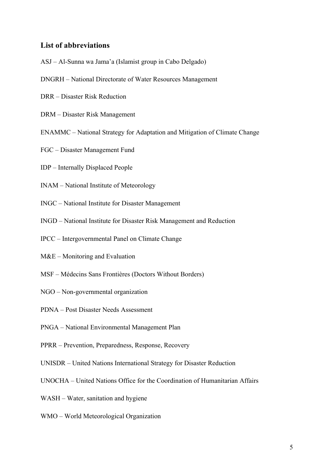# **List of abbreviations**

- ASJ Al-Sunna wa Jama'a (Islamist group in Cabo Delgado)
- DNGRH National Directorate of Water Resources Management
- DRR Disaster Risk Reduction
- DRM Disaster Risk Management
- ENAMMC National Strategy for Adaptation and Mitigation of Climate Change
- FGC Disaster Management Fund
- IDP Internally Displaced People
- INAM National Institute of Meteorology
- INGC National Institute for Disaster Management
- INGD National Institute for Disaster Risk Management and Reduction
- IPCC Intergovernmental Panel on Climate Change
- M&E Monitoring and Evaluation
- MSF Médecins Sans Frontières (Doctors Without Borders)
- NGO Non-governmental organization
- PDNA Post Disaster Needs Assessment
- PNGA National Environmental Management Plan
- PPRR Prevention, Preparedness, Response, Recovery
- UNISDR United Nations International Strategy for Disaster Reduction
- UNOCHA United Nations Office for the Coordination of Humanitarian Affairs
- WASH Water, sanitation and hygiene
- WMO World Meteorological Organization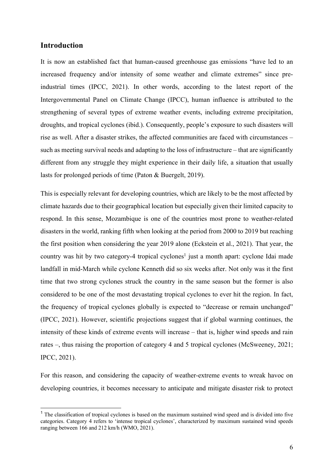# **Introduction**

It is now an established fact that human-caused greenhouse gas emissions "have led to an increased frequency and/or intensity of some weather and climate extremes" since preindustrial times (IPCC, 2021). In other words, according to the latest report of the Intergovernmental Panel on Climate Change (IPCC), human influence is attributed to the strengthening of several types of extreme weather events, including extreme precipitation, droughts, and tropical cyclones (ibid.). Consequently, people's exposure to such disasters will rise as well. After a disaster strikes, the affected communities are faced with circumstances – such as meeting survival needs and adapting to the loss of infrastructure – that are significantly different from any struggle they might experience in their daily life, a situation that usually lasts for prolonged periods of time (Paton & Buergelt, 2019).

This is especially relevant for developing countries, which are likely to be the most affected by climate hazards due to their geographical location but especially given their limited capacity to respond. In this sense, Mozambique is one of the countries most prone to weather-related disasters in the world, ranking fifth when looking at the period from 2000 to 2019 but reaching the first position when considering the year 2019 alone (Eckstein et al., 2021). That year, the country was hit by two category-4 tropical cyclones<sup>1</sup> just a month apart: cyclone Idai made landfall in mid-March while cyclone Kenneth did so six weeks after. Not only was it the first time that two strong cyclones struck the country in the same season but the former is also considered to be one of the most devastating tropical cyclones to ever hit the region. In fact, the frequency of tropical cyclones globally is expected to "decrease or remain unchanged" (IPCC, 2021). However, scientific projections suggest that if global warming continues, the intensity of these kinds of extreme events will increase – that is, higher wind speeds and rain rates –, thus raising the proportion of category 4 and 5 tropical cyclones (McSweeney, 2021; IPCC, 2021).

For this reason, and considering the capacity of weather-extreme events to wreak havoc on developing countries, it becomes necessary to anticipate and mitigate disaster risk to protect

<sup>&</sup>lt;sup>1</sup> The classification of tropical cyclones is based on the maximum sustained wind speed and is divided into five categories. Category 4 refers to 'intense tropical cyclones', characterized by maximum sustained wind speeds ranging between 166 and 212 km/h (WMO, 2021).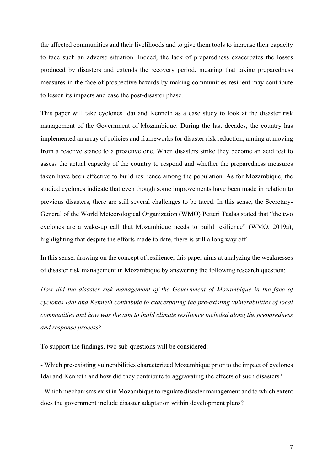the affected communities and their livelihoods and to give them tools to increase their capacity to face such an adverse situation. Indeed, the lack of preparedness exacerbates the losses produced by disasters and extends the recovery period, meaning that taking preparedness measures in the face of prospective hazards by making communities resilient may contribute to lessen its impacts and ease the post-disaster phase.

This paper will take cyclones Idai and Kenneth as a case study to look at the disaster risk management of the Government of Mozambique. During the last decades, the country has implemented an array of policies and frameworks for disaster risk reduction, aiming at moving from a reactive stance to a proactive one. When disasters strike they become an acid test to assess the actual capacity of the country to respond and whether the preparedness measures taken have been effective to build resilience among the population. As for Mozambique, the studied cyclones indicate that even though some improvements have been made in relation to previous disasters, there are still several challenges to be faced. In this sense, the Secretary-General of the World Meteorological Organization (WMO) Petteri Taalas stated that "the two cyclones are a wake-up call that Mozambique needs to build resilience" (WMO, 2019a), highlighting that despite the efforts made to date, there is still a long way off.

In this sense, drawing on the concept of resilience, this paper aims at analyzing the weaknesses of disaster risk management in Mozambique by answering the following research question:

*How did the disaster risk management of the Government of Mozambique in the face of cyclones Idai and Kenneth contribute to exacerbating the pre-existing vulnerabilities of local communities and how was the aim to build climate resilience included along the preparedness and response process?*

To support the findings, two sub-questions will be considered:

- Which pre-existing vulnerabilities characterized Mozambique prior to the impact of cyclones Idai and Kenneth and how did they contribute to aggravating the effects of such disasters?

- Which mechanisms exist in Mozambique to regulate disaster management and to which extent does the government include disaster adaptation within development plans?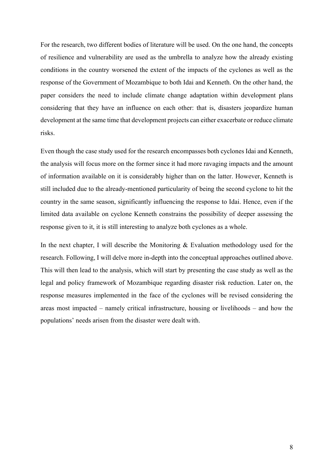For the research, two different bodies of literature will be used. On the one hand, the concepts of resilience and vulnerability are used as the umbrella to analyze how the already existing conditions in the country worsened the extent of the impacts of the cyclones as well as the response of the Government of Mozambique to both Idai and Kenneth. On the other hand, the paper considers the need to include climate change adaptation within development plans considering that they have an influence on each other: that is, disasters jeopardize human development at the same time that development projects can either exacerbate or reduce climate risks.

Even though the case study used for the research encompasses both cyclones Idai and Kenneth, the analysis will focus more on the former since it had more ravaging impacts and the amount of information available on it is considerably higher than on the latter. However, Kenneth is still included due to the already-mentioned particularity of being the second cyclone to hit the country in the same season, significantly influencing the response to Idai. Hence, even if the limited data available on cyclone Kenneth constrains the possibility of deeper assessing the response given to it, it is still interesting to analyze both cyclones as a whole.

In the next chapter, I will describe the Monitoring  $\&$  Evaluation methodology used for the research. Following, I will delve more in-depth into the conceptual approaches outlined above. This will then lead to the analysis, which will start by presenting the case study as well as the legal and policy framework of Mozambique regarding disaster risk reduction. Later on, the response measures implemented in the face of the cyclones will be revised considering the areas most impacted – namely critical infrastructure, housing or livelihoods – and how the populations' needs arisen from the disaster were dealt with.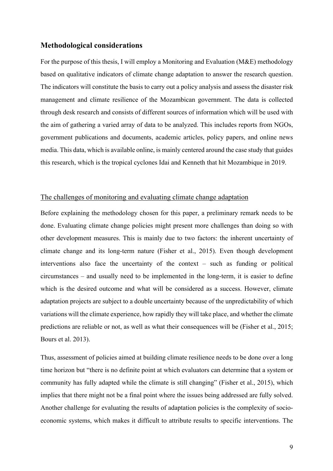# **Methodological considerations**

For the purpose of this thesis, I will employ a Monitoring and Evaluation (M&E) methodology based on qualitative indicators of climate change adaptation to answer the research question. The indicators will constitute the basis to carry out a policy analysis and assess the disaster risk management and climate resilience of the Mozambican government. The data is collected through desk research and consists of different sources of information which will be used with the aim of gathering a varied array of data to be analyzed. This includes reports from NGOs, government publications and documents, academic articles, policy papers, and online news media. This data, which is available online, is mainly centered around the case study that guides this research, which is the tropical cyclones Idai and Kenneth that hit Mozambique in 2019.

#### The challenges of monitoring and evaluating climate change adaptation

Before explaining the methodology chosen for this paper, a preliminary remark needs to be done. Evaluating climate change policies might present more challenges than doing so with other development measures. This is mainly due to two factors: the inherent uncertainty of climate change and its long-term nature (Fisher et al., 2015). Even though development interventions also face the uncertainty of the context – such as funding or political circumstances – and usually need to be implemented in the long-term, it is easier to define which is the desired outcome and what will be considered as a success. However, climate adaptation projects are subject to a double uncertainty because of the unpredictability of which variations will the climate experience, how rapidly they will take place, and whether the climate predictions are reliable or not, as well as what their consequences will be (Fisher et al., 2015; Bours et al. 2013).

Thus, assessment of policies aimed at building climate resilience needs to be done over a long time horizon but "there is no definite point at which evaluators can determine that a system or community has fully adapted while the climate is still changing" (Fisher et al., 2015), which implies that there might not be a final point where the issues being addressed are fully solved. Another challenge for evaluating the results of adaptation policies is the complexity of socioeconomic systems, which makes it difficult to attribute results to specific interventions. The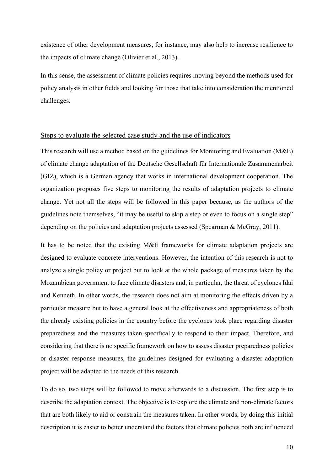existence of other development measures, for instance, may also help to increase resilience to the impacts of climate change (Olivier et al., 2013).

In this sense, the assessment of climate policies requires moving beyond the methods used for policy analysis in other fields and looking for those that take into consideration the mentioned challenges.

#### Steps to evaluate the selected case study and the use of indicators

This research will use a method based on the guidelines for Monitoring and Evaluation (M&E) of climate change adaptation of the Deutsche Gesellschaft für Internationale Zusammenarbeit (GIZ), which is a German agency that works in international development cooperation. The organization proposes five steps to monitoring the results of adaptation projects to climate change. Yet not all the steps will be followed in this paper because, as the authors of the guidelines note themselves, "it may be useful to skip a step or even to focus on a single step" depending on the policies and adaptation projects assessed (Spearman & McGray, 2011).

It has to be noted that the existing M&E frameworks for climate adaptation projects are designed to evaluate concrete interventions. However, the intention of this research is not to analyze a single policy or project but to look at the whole package of measures taken by the Mozambican government to face climate disasters and, in particular, the threat of cyclones Idai and Kenneth. In other words, the research does not aim at monitoring the effects driven by a particular measure but to have a general look at the effectiveness and appropriateness of both the already existing policies in the country before the cyclones took place regarding disaster preparedness and the measures taken specifically to respond to their impact. Therefore, and considering that there is no specific framework on how to assess disaster preparedness policies or disaster response measures, the guidelines designed for evaluating a disaster adaptation project will be adapted to the needs of this research.

To do so, two steps will be followed to move afterwards to a discussion. The first step is to describe the adaptation context. The objective is to explore the climate and non-climate factors that are both likely to aid or constrain the measures taken. In other words, by doing this initial description it is easier to better understand the factors that climate policies both are influenced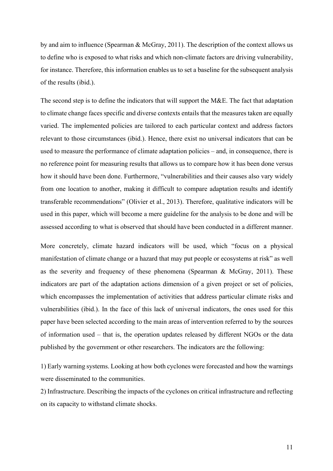by and aim to influence (Spearman & McGray, 2011). The description of the context allows us to define who is exposed to what risks and which non-climate factors are driving vulnerability, for instance. Therefore, this information enables us to set a baseline for the subsequent analysis of the results (ibid.).

The second step is to define the indicators that will support the M&E. The fact that adaptation to climate change faces specific and diverse contexts entails that the measures taken are equally varied. The implemented policies are tailored to each particular context and address factors relevant to those circumstances (ibid.). Hence, there exist no universal indicators that can be used to measure the performance of climate adaptation policies – and, in consequence, there is no reference point for measuring results that allows us to compare how it has been done versus how it should have been done. Furthermore, "vulnerabilities and their causes also vary widely from one location to another, making it difficult to compare adaptation results and identify transferable recommendations" (Olivier et al., 2013). Therefore, qualitative indicators will be used in this paper, which will become a mere guideline for the analysis to be done and will be assessed according to what is observed that should have been conducted in a different manner.

More concretely, climate hazard indicators will be used, which "focus on a physical manifestation of climate change or a hazard that may put people or ecosystems at risk" as well as the severity and frequency of these phenomena (Spearman & McGray, 2011). These indicators are part of the adaptation actions dimension of a given project or set of policies, which encompasses the implementation of activities that address particular climate risks and vulnerabilities (ibid.). In the face of this lack of universal indicators, the ones used for this paper have been selected according to the main areas of intervention referred to by the sources of information used – that is, the operation updates released by different NGOs or the data published by the government or other researchers. The indicators are the following:

1) Early warning systems. Looking at how both cyclones were forecasted and how the warnings were disseminated to the communities.

2) Infrastructure. Describing the impacts of the cyclones on critical infrastructure and reflecting on its capacity to withstand climate shocks.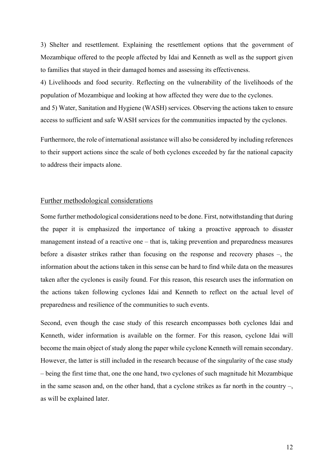3) Shelter and resettlement. Explaining the resettlement options that the government of Mozambique offered to the people affected by Idai and Kenneth as well as the support given to families that stayed in their damaged homes and assessing its effectiveness.

4) Livelihoods and food security. Reflecting on the vulnerability of the livelihoods of the population of Mozambique and looking at how affected they were due to the cyclones. and 5) Water, Sanitation and Hygiene (WASH) services. Observing the actions taken to ensure access to sufficient and safe WASH services for the communities impacted by the cyclones.

Furthermore, the role of international assistance will also be considered by including references to their support actions since the scale of both cyclones exceeded by far the national capacity to address their impacts alone.

#### Further methodological considerations

Some further methodological considerations need to be done. First, notwithstanding that during the paper it is emphasized the importance of taking a proactive approach to disaster management instead of a reactive one – that is, taking prevention and preparedness measures before a disaster strikes rather than focusing on the response and recovery phases –, the information about the actions taken in this sense can be hard to find while data on the measures taken after the cyclones is easily found. For this reason, this research uses the information on the actions taken following cyclones Idai and Kenneth to reflect on the actual level of preparedness and resilience of the communities to such events.

Second, even though the case study of this research encompasses both cyclones Idai and Kenneth, wider information is available on the former. For this reason, cyclone Idai will become the main object of study along the paper while cyclone Kenneth will remain secondary. However, the latter is still included in the research because of the singularity of the case study – being the first time that, one the one hand, two cyclones of such magnitude hit Mozambique in the same season and, on the other hand, that a cyclone strikes as far north in the country –, as will be explained later.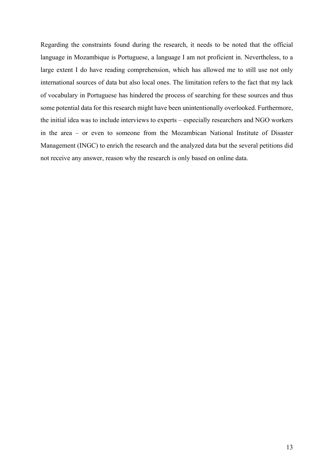Regarding the constraints found during the research, it needs to be noted that the official language in Mozambique is Portuguese, a language I am not proficient in. Nevertheless, to a large extent I do have reading comprehension, which has allowed me to still use not only international sources of data but also local ones. The limitation refers to the fact that my lack of vocabulary in Portuguese has hindered the process of searching for these sources and thus some potential data for this research might have been unintentionally overlooked. Furthermore, the initial idea was to include interviews to experts – especially researchers and NGO workers in the area – or even to someone from the Mozambican National Institute of Disaster Management (INGC) to enrich the research and the analyzed data but the several petitions did not receive any answer, reason why the research is only based on online data.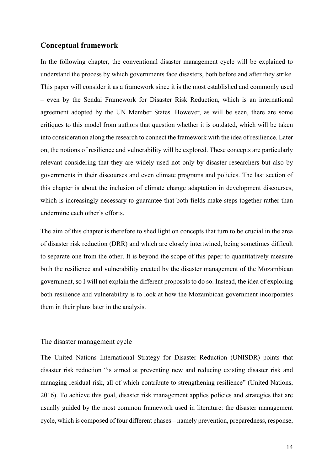# **Conceptual framework**

In the following chapter, the conventional disaster management cycle will be explained to understand the process by which governments face disasters, both before and after they strike. This paper will consider it as a framework since it is the most established and commonly used – even by the Sendai Framework for Disaster Risk Reduction, which is an international agreement adopted by the UN Member States. However, as will be seen, there are some critiques to this model from authors that question whether it is outdated, which will be taken into consideration along the research to connect the framework with the idea of resilience. Later on, the notions of resilience and vulnerability will be explored. These concepts are particularly relevant considering that they are widely used not only by disaster researchers but also by governments in their discourses and even climate programs and policies. The last section of this chapter is about the inclusion of climate change adaptation in development discourses, which is increasingly necessary to guarantee that both fields make steps together rather than undermine each other's efforts.

The aim of this chapter is therefore to shed light on concepts that turn to be crucial in the area of disaster risk reduction (DRR) and which are closely intertwined, being sometimes difficult to separate one from the other. It is beyond the scope of this paper to quantitatively measure both the resilience and vulnerability created by the disaster management of the Mozambican government, so I will not explain the different proposals to do so. Instead, the idea of exploring both resilience and vulnerability is to look at how the Mozambican government incorporates them in their plans later in the analysis.

#### The disaster management cycle

The United Nations International Strategy for Disaster Reduction (UNISDR) points that disaster risk reduction "is aimed at preventing new and reducing existing disaster risk and managing residual risk, all of which contribute to strengthening resilience" (United Nations, 2016). To achieve this goal, disaster risk management applies policies and strategies that are usually guided by the most common framework used in literature: the disaster management cycle, which is composed of four different phases – namely prevention, preparedness, response,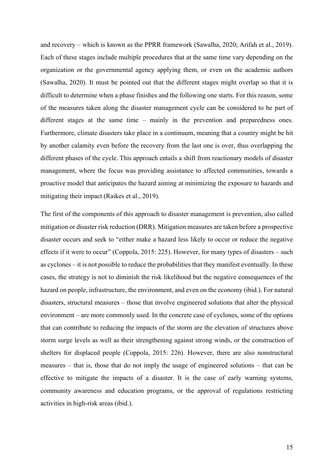and recovery – which is known as the PPRR framework (Sawalha, 2020; Arifah et al., 2019). Each of these stages include multiple procedures that at the same time vary depending on the organization or the governmental agency applying them, or even on the academic authors (Sawalha, 2020). It must be pointed out that the different stages might overlap so that it is difficult to determine when a phase finishes and the following one starts. For this reason, some of the measures taken along the disaster management cycle can be considered to be part of different stages at the same time – mainly in the prevention and preparedness ones. Furthermore, climate disasters take place in a continuum, meaning that a country might be hit by another calamity even before the recovery from the last one is over, thus overlapping the different phases of the cycle. This approach entails a shift from reactionary models of disaster management, where the focus was providing assistance to affected communities, towards a proactive model that anticipates the hazard aiming at minimizing the exposure to hazards and mitigating their impact (Raikes et al., 2019).

The first of the components of this approach to disaster management is prevention, also called mitigation or disaster risk reduction (DRR). Mitigation measures are taken before a prospective disaster occurs and seek to "either make a hazard less likely to occur or reduce the negative effects if it were to occur" (Coppola, 2015: 225). However, for many types of disasters – such as cyclones – it is not possible to reduce the probabilities that they manifest eventually. In these cases, the strategy is not to diminish the risk likelihood but the negative consequences of the hazard on people, infrastructure, the environment, and even on the economy (ibid.). For natural disasters, structural measures – those that involve engineered solutions that alter the physical environment – are more commonly used. In the concrete case of cyclones, some of the options that can contribute to reducing the impacts of the storm are the elevation of structures above storm surge levels as well as their strengthening against strong winds, or the construction of shelters for displaced people (Coppola, 2015: 226). However, there are also nonstructural measures – that is, those that do not imply the usage of engineered solutions – that can be effective to mitigate the impacts of a disaster. It is the case of early warning systems, community awareness and education programs, or the approval of regulations restricting activities in high-risk areas (ibid.).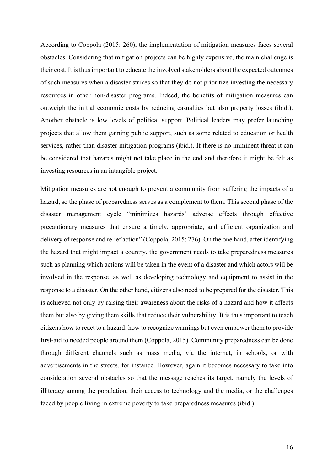According to Coppola (2015: 260), the implementation of mitigation measures faces several obstacles. Considering that mitigation projects can be highly expensive, the main challenge is their cost. It is thus important to educate the involved stakeholders about the expected outcomes of such measures when a disaster strikes so that they do not prioritize investing the necessary resources in other non-disaster programs. Indeed, the benefits of mitigation measures can outweigh the initial economic costs by reducing casualties but also property losses (ibid.). Another obstacle is low levels of political support. Political leaders may prefer launching projects that allow them gaining public support, such as some related to education or health services, rather than disaster mitigation programs (ibid.). If there is no imminent threat it can be considered that hazards might not take place in the end and therefore it might be felt as investing resources in an intangible project.

Mitigation measures are not enough to prevent a community from suffering the impacts of a hazard, so the phase of preparedness serves as a complement to them. This second phase of the disaster management cycle "minimizes hazards' adverse effects through effective precautionary measures that ensure a timely, appropriate, and efficient organization and delivery of response and relief action" (Coppola, 2015: 276). On the one hand, after identifying the hazard that might impact a country, the government needs to take preparedness measures such as planning which actions will be taken in the event of a disaster and which actors will be involved in the response, as well as developing technology and equipment to assist in the response to a disaster. On the other hand, citizens also need to be prepared for the disaster. This is achieved not only by raising their awareness about the risks of a hazard and how it affects them but also by giving them skills that reduce their vulnerability. It is thus important to teach citizens how to react to a hazard: how to recognize warnings but even empower them to provide first-aid to needed people around them (Coppola, 2015). Community preparedness can be done through different channels such as mass media, via the internet, in schools, or with advertisements in the streets, for instance. However, again it becomes necessary to take into consideration several obstacles so that the message reaches its target, namely the levels of illiteracy among the population, their access to technology and the media, or the challenges faced by people living in extreme poverty to take preparedness measures (ibid.).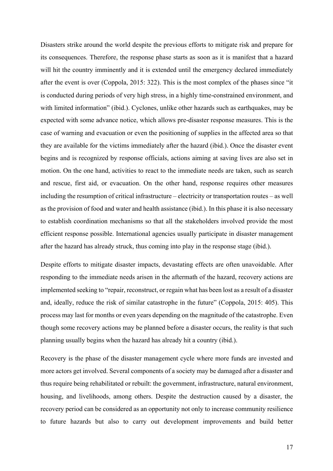Disasters strike around the world despite the previous efforts to mitigate risk and prepare for its consequences. Therefore, the response phase starts as soon as it is manifest that a hazard will hit the country imminently and it is extended until the emergency declared immediately after the event is over (Coppola, 2015: 322). This is the most complex of the phases since "it is conducted during periods of very high stress, in a highly time-constrained environment, and with limited information" (ibid.). Cyclones, unlike other hazards such as earthquakes, may be expected with some advance notice, which allows pre-disaster response measures. This is the case of warning and evacuation or even the positioning of supplies in the affected area so that they are available for the victims immediately after the hazard (ibid.). Once the disaster event begins and is recognized by response officials, actions aiming at saving lives are also set in motion. On the one hand, activities to react to the immediate needs are taken, such as search and rescue, first aid, or evacuation. On the other hand, response requires other measures including the resumption of critical infrastructure – electricity or transportation routes – as well as the provision of food and water and health assistance (ibid.). In this phase it is also necessary to establish coordination mechanisms so that all the stakeholders involved provide the most efficient response possible. International agencies usually participate in disaster management after the hazard has already struck, thus coming into play in the response stage (ibid.).

Despite efforts to mitigate disaster impacts, devastating effects are often unavoidable. After responding to the immediate needs arisen in the aftermath of the hazard, recovery actions are implemented seeking to "repair, reconstruct, or regain what has been lost as a result of a disaster and, ideally, reduce the risk of similar catastrophe in the future" (Coppola, 2015: 405). This process may last for months or even years depending on the magnitude of the catastrophe. Even though some recovery actions may be planned before a disaster occurs, the reality is that such planning usually begins when the hazard has already hit a country (ibid.).

Recovery is the phase of the disaster management cycle where more funds are invested and more actors get involved. Several components of a society may be damaged after a disaster and thus require being rehabilitated or rebuilt: the government, infrastructure, natural environment, housing, and livelihoods, among others. Despite the destruction caused by a disaster, the recovery period can be considered as an opportunity not only to increase community resilience to future hazards but also to carry out development improvements and build better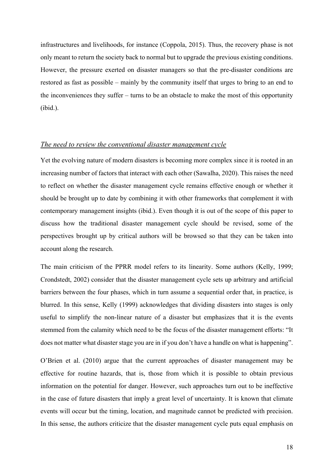infrastructures and livelihoods, for instance (Coppola, 2015). Thus, the recovery phase is not only meant to return the society back to normal but to upgrade the previous existing conditions. However, the pressure exerted on disaster managers so that the pre-disaster conditions are restored as fast as possible – mainly by the community itself that urges to bring to an end to the inconveniences they suffer – turns to be an obstacle to make the most of this opportunity (ibid.).

# *The need to review the conventional disaster management cycle*

Yet the evolving nature of modern disasters is becoming more complex since it is rooted in an increasing number of factors that interact with each other (Sawalha, 2020). This raises the need to reflect on whether the disaster management cycle remains effective enough or whether it should be brought up to date by combining it with other frameworks that complement it with contemporary management insights (ibid.). Even though it is out of the scope of this paper to discuss how the traditional disaster management cycle should be revised, some of the perspectives brought up by critical authors will be browsed so that they can be taken into account along the research.

The main criticism of the PPRR model refers to its linearity. Some authors (Kelly, 1999; Crondstedt, 2002) consider that the disaster management cycle sets up arbitrary and artificial barriers between the four phases, which in turn assume a sequential order that, in practice, is blurred. In this sense, Kelly (1999) acknowledges that dividing disasters into stages is only useful to simplify the non-linear nature of a disaster but emphasizes that it is the events stemmed from the calamity which need to be the focus of the disaster management efforts: "It does not matter what disaster stage you are in if you don't have a handle on what is happening".

O'Brien et al. (2010) argue that the current approaches of disaster management may be effective for routine hazards, that is, those from which it is possible to obtain previous information on the potential for danger. However, such approaches turn out to be ineffective in the case of future disasters that imply a great level of uncertainty. It is known that climate events will occur but the timing, location, and magnitude cannot be predicted with precision. In this sense, the authors criticize that the disaster management cycle puts equal emphasis on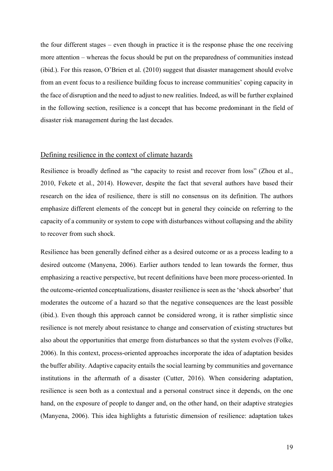the four different stages – even though in practice it is the response phase the one receiving more attention – whereas the focus should be put on the preparedness of communities instead (ibid.). For this reason, O'Brien et al. (2010) suggest that disaster management should evolve from an event focus to a resilience building focus to increase communities' coping capacity in the face of disruption and the need to adjust to new realities. Indeed, as will be further explained in the following section, resilience is a concept that has become predominant in the field of disaster risk management during the last decades.

# Defining resilience in the context of climate hazards

Resilience is broadly defined as "the capacity to resist and recover from loss" (Zhou et al., 2010, Fekete et al., 2014). However, despite the fact that several authors have based their research on the idea of resilience, there is still no consensus on its definition. The authors emphasize different elements of the concept but in general they coincide on referring to the capacity of a community or system to cope with disturbances without collapsing and the ability to recover from such shock.

Resilience has been generally defined either as a desired outcome or as a process leading to a desired outcome (Manyena, 2006). Earlier authors tended to lean towards the former, thus emphasizing a reactive perspective, but recent definitions have been more process-oriented. In the outcome-oriented conceptualizations, disaster resilience is seen as the 'shock absorber' that moderates the outcome of a hazard so that the negative consequences are the least possible (ibid.). Even though this approach cannot be considered wrong, it is rather simplistic since resilience is not merely about resistance to change and conservation of existing structures but also about the opportunities that emerge from disturbances so that the system evolves (Folke, 2006). In this context, process-oriented approaches incorporate the idea of adaptation besides the buffer ability. Adaptive capacity entails the social learning by communities and governance institutions in the aftermath of a disaster (Cutter, 2016). When considering adaptation, resilience is seen both as a contextual and a personal construct since it depends, on the one hand, on the exposure of people to danger and, on the other hand, on their adaptive strategies (Manyena, 2006). This idea highlights a futuristic dimension of resilience: adaptation takes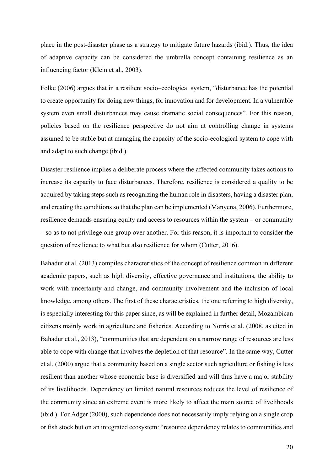place in the post-disaster phase as a strategy to mitigate future hazards (ibid.). Thus, the idea of adaptive capacity can be considered the umbrella concept containing resilience as an influencing factor (Klein et al., 2003).

Folke (2006) argues that in a resilient socio–ecological system, "disturbance has the potential to create opportunity for doing new things, for innovation and for development. In a vulnerable system even small disturbances may cause dramatic social consequences". For this reason, policies based on the resilience perspective do not aim at controlling change in systems assumed to be stable but at managing the capacity of the socio-ecological system to cope with and adapt to such change (ibid.).

Disaster resilience implies a deliberate process where the affected community takes actions to increase its capacity to face disturbances. Therefore, resilience is considered a quality to be acquired by taking steps such as recognizing the human role in disasters, having a disaster plan, and creating the conditions so that the plan can be implemented (Manyena, 2006). Furthermore, resilience demands ensuring equity and access to resources within the system – or community – so as to not privilege one group over another. For this reason, it is important to consider the question of resilience to what but also resilience for whom (Cutter, 2016).

Bahadur et al. (2013) compiles characteristics of the concept of resilience common in different academic papers, such as high diversity, effective governance and institutions, the ability to work with uncertainty and change, and community involvement and the inclusion of local knowledge, among others. The first of these characteristics, the one referring to high diversity, is especially interesting for this paper since, as will be explained in further detail, Mozambican citizens mainly work in agriculture and fisheries. According to Norris et al. (2008, as cited in Bahadur et al., 2013), "communities that are dependent on a narrow range of resources are less able to cope with change that involves the depletion of that resource". In the same way, Cutter et al. (2000) argue that a community based on a single sector such agriculture or fishing is less resilient than another whose economic base is diversified and will thus have a major stability of its livelihoods. Dependency on limited natural resources reduces the level of resilience of the community since an extreme event is more likely to affect the main source of livelihoods (ibid.). For Adger (2000), such dependence does not necessarily imply relying on a single crop or fish stock but on an integrated ecosystem: "resource dependency relates to communities and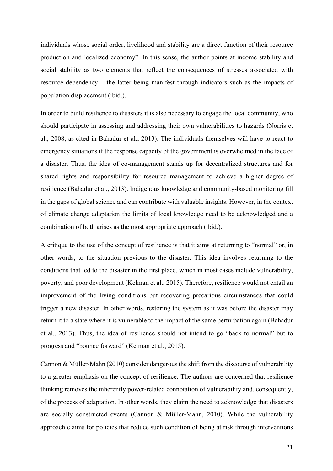individuals whose social order, livelihood and stability are a direct function of their resource production and localized economy". In this sense, the author points at income stability and social stability as two elements that reflect the consequences of stresses associated with resource dependency – the latter being manifest through indicators such as the impacts of population displacement (ibid.).

In order to build resilience to disasters it is also necessary to engage the local community, who should participate in assessing and addressing their own vulnerabilities to hazards (Norris et al., 2008, as cited in Bahadur et al., 2013). The individuals themselves will have to react to emergency situations if the response capacity of the government is overwhelmed in the face of a disaster. Thus, the idea of co-management stands up for decentralized structures and for shared rights and responsibility for resource management to achieve a higher degree of resilience (Bahadur et al., 2013). Indigenous knowledge and community-based monitoring fill in the gaps of global science and can contribute with valuable insights. However, in the context of climate change adaptation the limits of local knowledge need to be acknowledged and a combination of both arises as the most appropriate approach (ibid.).

A critique to the use of the concept of resilience is that it aims at returning to "normal" or, in other words, to the situation previous to the disaster. This idea involves returning to the conditions that led to the disaster in the first place, which in most cases include vulnerability, poverty, and poor development (Kelman et al., 2015). Therefore, resilience would not entail an improvement of the living conditions but recovering precarious circumstances that could trigger a new disaster. In other words, restoring the system as it was before the disaster may return it to a state where it is vulnerable to the impact of the same perturbation again (Bahadur et al., 2013). Thus, the idea of resilience should not intend to go "back to normal" but to progress and "bounce forward" (Kelman et al., 2015).

Cannon & Müller-Mahn (2010) consider dangerous the shift from the discourse of vulnerability to a greater emphasis on the concept of resilience. The authors are concerned that resilience thinking removes the inherently power-related connotation of vulnerability and, consequently, of the process of adaptation. In other words, they claim the need to acknowledge that disasters are socially constructed events (Cannon & Müller-Mahn, 2010). While the vulnerability approach claims for policies that reduce such condition of being at risk through interventions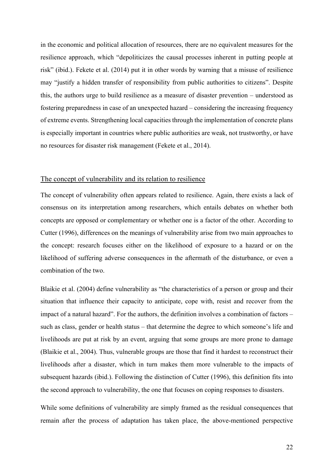in the economic and political allocation of resources, there are no equivalent measures for the resilience approach, which "depoliticizes the causal processes inherent in putting people at risk" (ibid.). Fekete et al. (2014) put it in other words by warning that a misuse of resilience may "justify a hidden transfer of responsibility from public authorities to citizens". Despite this, the authors urge to build resilience as a measure of disaster prevention – understood as fostering preparedness in case of an unexpected hazard – considering the increasing frequency of extreme events. Strengthening local capacities through the implementation of concrete plans is especially important in countries where public authorities are weak, not trustworthy, or have no resources for disaster risk management (Fekete et al., 2014).

#### The concept of vulnerability and its relation to resilience

The concept of vulnerability often appears related to resilience. Again, there exists a lack of consensus on its interpretation among researchers, which entails debates on whether both concepts are opposed or complementary or whether one is a factor of the other. According to Cutter (1996), differences on the meanings of vulnerability arise from two main approaches to the concept: research focuses either on the likelihood of exposure to a hazard or on the likelihood of suffering adverse consequences in the aftermath of the disturbance, or even a combination of the two.

Blaikie et al. (2004) define vulnerability as "the characteristics of a person or group and their situation that influence their capacity to anticipate, cope with, resist and recover from the impact of a natural hazard". For the authors, the definition involves a combination of factors – such as class, gender or health status – that determine the degree to which someone's life and livelihoods are put at risk by an event, arguing that some groups are more prone to damage (Blaikie et al., 2004). Thus, vulnerable groups are those that find it hardest to reconstruct their livelihoods after a disaster, which in turn makes them more vulnerable to the impacts of subsequent hazards (ibid.). Following the distinction of Cutter (1996), this definition fits into the second approach to vulnerability, the one that focuses on coping responses to disasters.

While some definitions of vulnerability are simply framed as the residual consequences that remain after the process of adaptation has taken place, the above-mentioned perspective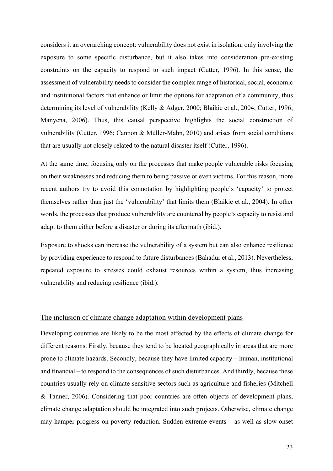considers it an overarching concept: vulnerability does not exist in isolation, only involving the exposure to some specific disturbance, but it also takes into consideration pre-existing constraints on the capacity to respond to such impact (Cutter, 1996). In this sense, the assessment of vulnerability needs to consider the complex range of historical, social, economic and institutional factors that enhance or limit the options for adaptation of a community, thus determining its level of vulnerability (Kelly & Adger, 2000; Blaikie et al., 2004; Cutter, 1996; Manyena, 2006). Thus, this causal perspective highlights the social construction of vulnerability (Cutter, 1996; Cannon & Müller-Mahn, 2010) and arises from social conditions that are usually not closely related to the natural disaster itself (Cutter, 1996).

At the same time, focusing only on the processes that make people vulnerable risks focusing on their weaknesses and reducing them to being passive or even victims. For this reason, more recent authors try to avoid this connotation by highlighting people's 'capacity' to protect themselves rather than just the 'vulnerability' that limits them (Blaikie et al., 2004). In other words, the processes that produce vulnerability are countered by people's capacity to resist and adapt to them either before a disaster or during its aftermath (ibid.).

Exposure to shocks can increase the vulnerability of a system but can also enhance resilience by providing experience to respond to future disturbances (Bahadur et al., 2013). Nevertheless, repeated exposure to stresses could exhaust resources within a system, thus increasing vulnerability and reducing resilience (ibid.).

#### The inclusion of climate change adaptation within development plans

Developing countries are likely to be the most affected by the effects of climate change for different reasons. Firstly, because they tend to be located geographically in areas that are more prone to climate hazards. Secondly, because they have limited capacity – human, institutional and financial – to respond to the consequences of such disturbances. And thirdly, because these countries usually rely on climate-sensitive sectors such as agriculture and fisheries (Mitchell & Tanner, 2006). Considering that poor countries are often objects of development plans, climate change adaptation should be integrated into such projects. Otherwise, climate change may hamper progress on poverty reduction. Sudden extreme events – as well as slow-onset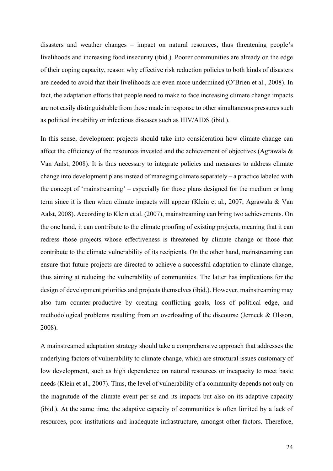disasters and weather changes – impact on natural resources, thus threatening people's livelihoods and increasing food insecurity (ibid.). Poorer communities are already on the edge of their coping capacity, reason why effective risk reduction policies to both kinds of disasters are needed to avoid that their livelihoods are even more undermined (O'Brien et al., 2008). In fact, the adaptation efforts that people need to make to face increasing climate change impacts are not easily distinguishable from those made in response to other simultaneous pressures such as political instability or infectious diseases such as HIV/AIDS (ibid.).

In this sense, development projects should take into consideration how climate change can affect the efficiency of the resources invested and the achievement of objectives (Agrawala & Van Aalst, 2008). It is thus necessary to integrate policies and measures to address climate change into development plans instead of managing climate separately – a practice labeled with the concept of 'mainstreaming' – especially for those plans designed for the medium or long term since it is then when climate impacts will appear (Klein et al., 2007; Agrawala & Van Aalst, 2008). According to Klein et al. (2007), mainstreaming can bring two achievements. On the one hand, it can contribute to the climate proofing of existing projects, meaning that it can redress those projects whose effectiveness is threatened by climate change or those that contribute to the climate vulnerability of its recipients. On the other hand, mainstreaming can ensure that future projects are directed to achieve a successful adaptation to climate change, thus aiming at reducing the vulnerability of communities. The latter has implications for the design of development priorities and projects themselves (ibid.). However, mainstreaming may also turn counter-productive by creating conflicting goals, loss of political edge, and methodological problems resulting from an overloading of the discourse (Jerneck & Olsson, 2008).

A mainstreamed adaptation strategy should take a comprehensive approach that addresses the underlying factors of vulnerability to climate change, which are structural issues customary of low development, such as high dependence on natural resources or incapacity to meet basic needs (Klein et al., 2007). Thus, the level of vulnerability of a community depends not only on the magnitude of the climate event per se and its impacts but also on its adaptive capacity (ibid.). At the same time, the adaptive capacity of communities is often limited by a lack of resources, poor institutions and inadequate infrastructure, amongst other factors. Therefore,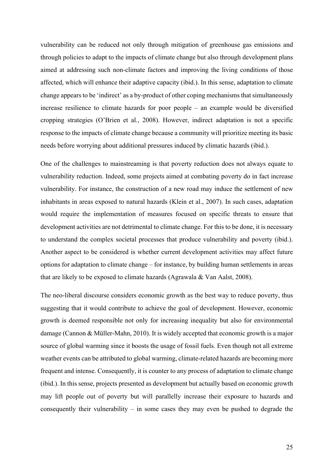vulnerability can be reduced not only through mitigation of greenhouse gas emissions and through policies to adapt to the impacts of climate change but also through development plans aimed at addressing such non-climate factors and improving the living conditions of those affected, which will enhance their adaptive capacity (ibid.). In this sense, adaptation to climate change appears to be 'indirect' as a by-product of other coping mechanisms that simultaneously increase resilience to climate hazards for poor people – an example would be diversified cropping strategies (O'Brien et al., 2008). However, indirect adaptation is not a specific response to the impacts of climate change because a community will prioritize meeting its basic needs before worrying about additional pressures induced by climatic hazards (ibid.).

One of the challenges to mainstreaming is that poverty reduction does not always equate to vulnerability reduction. Indeed, some projects aimed at combating poverty do in fact increase vulnerability. For instance, the construction of a new road may induce the settlement of new inhabitants in areas exposed to natural hazards (Klein et al., 2007). In such cases, adaptation would require the implementation of measures focused on specific threats to ensure that development activities are not detrimental to climate change. For this to be done, it is necessary to understand the complex societal processes that produce vulnerability and poverty (ibid.). Another aspect to be considered is whether current development activities may affect future options for adaptation to climate change – for instance, by building human settlements in areas that are likely to be exposed to climate hazards (Agrawala & Van Aalst, 2008).

The neo-liberal discourse considers economic growth as the best way to reduce poverty, thus suggesting that it would contribute to achieve the goal of development. However, economic growth is deemed responsible not only for increasing inequality but also for environmental damage (Cannon & Müller-Mahn, 2010). It is widely accepted that economic growth is a major source of global warming since it boosts the usage of fossil fuels. Even though not all extreme weather events can be attributed to global warming, climate-related hazards are becoming more frequent and intense. Consequently, it is counter to any process of adaptation to climate change (ibid.). In this sense, projects presented as development but actually based on economic growth may lift people out of poverty but will parallelly increase their exposure to hazards and consequently their vulnerability – in some cases they may even be pushed to degrade the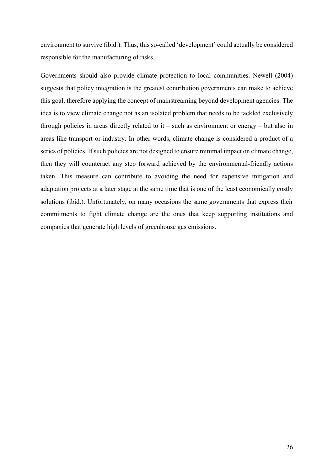environment to survive (ibid.). Thus, this so-called 'development' could actually be considered responsible for the manufacturing of risks.

Governments should also provide climate protection to local communities. Newell (2004) suggests that policy integration is the greatest contribution governments can make to achieve this goal, therefore applying the concept of mainstreaming beyond development agencies. The idea is to view climate change not as an isolated problem that needs to be tackled exclusively through policies in areas directly related to it – such as environment or energy – but also in areas like transport or industry. In other words, climate change is considered a product of a series of policies. If such policies are not designed to ensure minimal impact on climate change, then they will counteract any step forward achieved by the environmental-friendly actions taken. This measure can contribute to avoiding the need for expensive mitigation and adaptation projects at a later stage at the same time that is one of the least economically costly solutions (ibid.). Unfortunately, on many occasions the same governments that express their commitments to fight climate change are the ones that keep supporting institutions and companies that generate high levels of greenhouse gas emissions.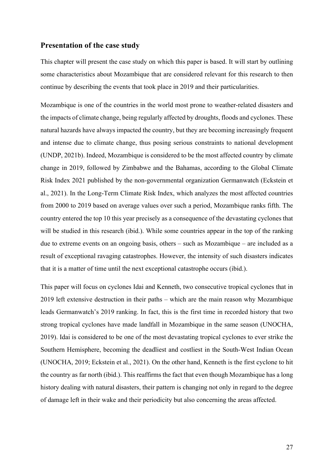# **Presentation of the case study**

This chapter will present the case study on which this paper is based. It will start by outlining some characteristics about Mozambique that are considered relevant for this research to then continue by describing the events that took place in 2019 and their particularities.

Mozambique is one of the countries in the world most prone to weather-related disasters and the impacts of climate change, being regularly affected by droughts, floods and cyclones. These natural hazards have always impacted the country, but they are becoming increasingly frequent and intense due to climate change, thus posing serious constraints to national development (UNDP, 2021b). Indeed, Mozambique is considered to be the most affected country by climate change in 2019, followed by Zimbabwe and the Bahamas, according to the Global Climate Risk Index 2021 published by the non-governmental organization Germanwatch (Eckstein et al., 2021). In the Long-Term Climate Risk Index, which analyzes the most affected countries from 2000 to 2019 based on average values over such a period, Mozambique ranks fifth. The country entered the top 10 this year precisely as a consequence of the devastating cyclones that will be studied in this research (ibid.). While some countries appear in the top of the ranking due to extreme events on an ongoing basis, others – such as Mozambique – are included as a result of exceptional ravaging catastrophes. However, the intensity of such disasters indicates that it is a matter of time until the next exceptional catastrophe occurs (ibid.).

This paper will focus on cyclones Idai and Kenneth, two consecutive tropical cyclones that in 2019 left extensive destruction in their paths – which are the main reason why Mozambique leads Germanwatch's 2019 ranking. In fact, this is the first time in recorded history that two strong tropical cyclones have made landfall in Mozambique in the same season (UNOCHA, 2019). Idai is considered to be one of the most devastating tropical cyclones to ever strike the Southern Hemisphere, becoming the deadliest and costliest in the South-West Indian Ocean (UNOCHA, 2019; Eckstein et al., 2021). On the other hand, Kenneth is the first cyclone to hit the country as far north (ibid.). This reaffirms the fact that even though Mozambique has a long history dealing with natural disasters, their pattern is changing not only in regard to the degree of damage left in their wake and their periodicity but also concerning the areas affected.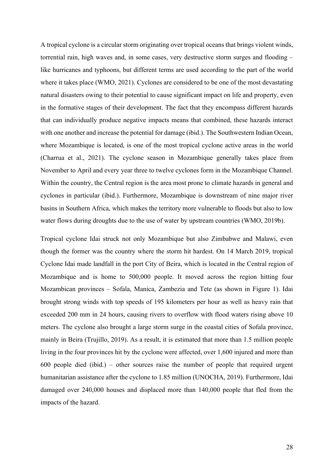A tropical cyclone is a circular storm originating over tropical oceans that brings violent winds, torrential rain, high waves and, in some cases, very destructive storm surges and flooding – like hurricanes and typhoons, but different terms are used according to the part of the world where it takes place (WMO, 2021). Cyclones are considered to be one of the most devastating natural disasters owing to their potential to cause significant impact on life and property, even in the formative stages of their development. The fact that they encompass different hazards that can individually produce negative impacts means that combined, these hazards interact with one another and increase the potential for damage (ibid.). The Southwestern Indian Ocean, where Mozambique is located, is one of the most tropical cyclone active areas in the world (Charrua et al., 2021). The cyclone season in Mozambique generally takes place from November to April and every year three to twelve cyclones form in the Mozambique Channel. Within the country, the Central region is the area most prone to climate hazards in general and cyclones in particular (ibid.). Furthermore, Mozambique is downstream of nine major river basins in Southern Africa, which makes the territory more vulnerable to floods but also to low water flows during droughts due to the use of water by upstream countries (WMO, 2019b).

Tropical cyclone Idai struck not only Mozambique but also Zimbabwe and Malawi, even though the former was the country where the storm hit hardest. On 14 March 2019, tropical Cyclone Idai made landfall in the port City of Beira, which is located in the Central region of Mozambique and is home to 500,000 people. It moved across the region hitting four Mozambican provinces – Sofala, Manica, Zambezia and Tete (as shown in Figure 1). Idai brought strong winds with top speeds of 195 kilometers per hour as well as heavy rain that exceeded 200 mm in 24 hours, causing rivers to overflow with flood waters rising above 10 meters. The cyclone also brought a large storm surge in the coastal cities of Sofala province, mainly in Beira (Trujillo, 2019). As a result, it is estimated that more than 1.5 million people living in the four provinces hit by the cyclone were affected, over 1,600 injured and more than 600 people died (ibid.) – other sources raise the number of people that required urgent humanitarian assistance after the cyclone to 1.85 million (UNOCHA, 2019). Furthermore, Idai damaged over 240,000 houses and displaced more than 140,000 people that fled from the impacts of the hazard.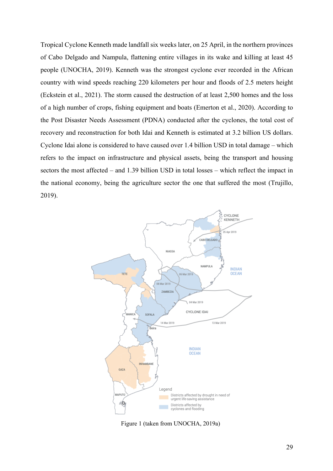Tropical Cyclone Kenneth made landfall six weeks later, on 25 April, in the northern provinces of Cabo Delgado and Nampula, flattening entire villages in its wake and killing at least 45 people (UNOCHA, 2019). Kenneth was the strongest cyclone ever recorded in the African country with wind speeds reaching 220 kilometers per hour and floods of 2.5 meters height (Eckstein et al., 2021). The storm caused the destruction of at least 2,500 homes and the loss of a high number of crops, fishing equipment and boats (Emerton et al., 2020). According to the Post Disaster Needs Assessment (PDNA) conducted after the cyclones, the total cost of recovery and reconstruction for both Idai and Kenneth is estimated at 3.2 billion US dollars. Cyclone Idai alone is considered to have caused over 1.4 billion USD in total damage – which refers to the impact on infrastructure and physical assets, being the transport and housing sectors the most affected – and 1.39 billion USD in total losses – which reflect the impact in the national economy, being the agriculture sector the one that suffered the most (Trujillo, 2019).



Figure 1 (taken from UNOCHA, 2019a)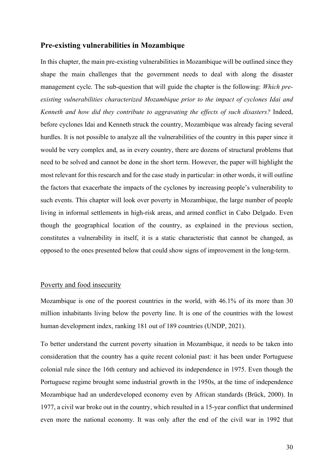# **Pre-existing vulnerabilities in Mozambique**

In this chapter, the main pre-existing vulnerabilities in Mozambique will be outlined since they shape the main challenges that the government needs to deal with along the disaster management cycle. The sub-question that will guide the chapter is the following: *Which preexisting vulnerabilities characterized Mozambique prior to the impact of cyclones Idai and Kenneth and how did they contribute to aggravating the effects of such disasters?* Indeed, before cyclones Idai and Kenneth struck the country, Mozambique was already facing several hurdles. It is not possible to analyze all the vulnerabilities of the country in this paper since it would be very complex and, as in every country, there are dozens of structural problems that need to be solved and cannot be done in the short term. However, the paper will highlight the most relevant for this research and for the case study in particular: in other words, it will outline the factors that exacerbate the impacts of the cyclones by increasing people's vulnerability to such events. This chapter will look over poverty in Mozambique, the large number of people living in informal settlements in high-risk areas, and armed conflict in Cabo Delgado. Even though the geographical location of the country, as explained in the previous section, constitutes a vulnerability in itself, it is a static characteristic that cannot be changed, as opposed to the ones presented below that could show signs of improvement in the long-term.

# Poverty and food insecurity

Mozambique is one of the poorest countries in the world, with 46.1% of its more than 30 million inhabitants living below the poverty line. It is one of the countries with the lowest human development index, ranking 181 out of 189 countries (UNDP, 2021).

To better understand the current poverty situation in Mozambique, it needs to be taken into consideration that the country has a quite recent colonial past: it has been under Portuguese colonial rule since the 16th century and achieved its independence in 1975. Even though the Portuguese regime brought some industrial growth in the 1950s, at the time of independence Mozambique had an underdeveloped economy even by African standards (Brück, 2000). In 1977, a civil war broke out in the country, which resulted in a 15-year conflict that undermined even more the national economy. It was only after the end of the civil war in 1992 that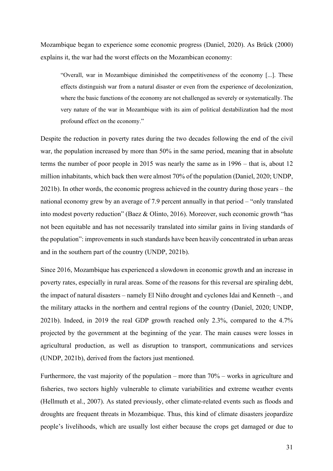Mozambique began to experience some economic progress (Daniel, 2020). As Brück (2000) explains it, the war had the worst effects on the Mozambican economy:

"Overall, war in Mozambique diminished the competitiveness of the economy [...]. These effects distinguish war from a natural disaster or even from the experience of decolonization, where the basic functions of the economy are not challenged as severely or systematically. The very nature of the war in Mozambique with its aim of political destabilization had the most profound effect on the economy."

Despite the reduction in poverty rates during the two decades following the end of the civil war, the population increased by more than 50% in the same period, meaning that in absolute terms the number of poor people in 2015 was nearly the same as in 1996 – that is, about 12 million inhabitants, which back then were almost 70% of the population (Daniel, 2020; UNDP, 2021b). In other words, the economic progress achieved in the country during those years – the national economy grew by an average of 7.9 percent annually in that period – "only translated into modest poverty reduction" (Baez & Olinto, 2016). Moreover, such economic growth "has not been equitable and has not necessarily translated into similar gains in living standards of the population": improvements in such standards have been heavily concentrated in urban areas and in the southern part of the country (UNDP, 2021b).

Since 2016, Mozambique has experienced a slowdown in economic growth and an increase in poverty rates, especially in rural areas. Some of the reasons for this reversal are spiraling debt, the impact of natural disasters – namely El Niño drought and cyclones Idai and Kenneth –, and the military attacks in the northern and central regions of the country (Daniel, 2020; UNDP, 2021b). Indeed, in 2019 the real GDP growth reached only 2.3%, compared to the 4.7% projected by the government at the beginning of the year. The main causes were losses in agricultural production, as well as disruption to transport, communications and services (UNDP, 2021b), derived from the factors just mentioned.

Furthermore, the vast majority of the population – more than 70% – works in agriculture and fisheries, two sectors highly vulnerable to climate variabilities and extreme weather events (Hellmuth et al., 2007). As stated previously, other climate-related events such as floods and droughts are frequent threats in Mozambique. Thus, this kind of climate disasters jeopardize people's livelihoods, which are usually lost either because the crops get damaged or due to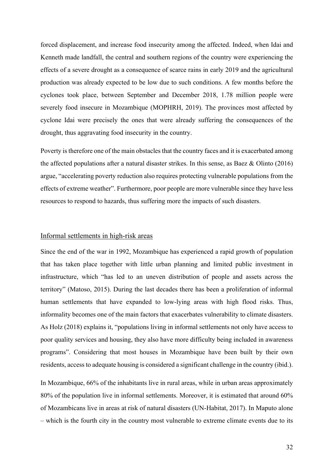forced displacement, and increase food insecurity among the affected. Indeed, when Idai and Kenneth made landfall, the central and southern regions of the country were experiencing the effects of a severe drought as a consequence of scarce rains in early 2019 and the agricultural production was already expected to be low due to such conditions. A few months before the cyclones took place, between September and December 2018, 1.78 million people were severely food insecure in Mozambique (MOPHRH, 2019). The provinces most affected by cyclone Idai were precisely the ones that were already suffering the consequences of the drought, thus aggravating food insecurity in the country.

Poverty is therefore one of the main obstacles that the country faces and it is exacerbated among the affected populations after a natural disaster strikes. In this sense, as Baez & Olinto (2016) argue, "accelerating poverty reduction also requires protecting vulnerable populations from the effects of extreme weather". Furthermore, poor people are more vulnerable since they have less resources to respond to hazards, thus suffering more the impacts of such disasters.

#### Informal settlements in high-risk areas

Since the end of the war in 1992, Mozambique has experienced a rapid growth of population that has taken place together with little urban planning and limited public investment in infrastructure, which "has led to an uneven distribution of people and assets across the territory" (Matoso, 2015). During the last decades there has been a proliferation of informal human settlements that have expanded to low-lying areas with high flood risks. Thus, informality becomes one of the main factors that exacerbates vulnerability to climate disasters. As Holz (2018) explains it, "populations living in informal settlements not only have access to poor quality services and housing, they also have more difficulty being included in awareness programs". Considering that most houses in Mozambique have been built by their own residents, access to adequate housing is considered a significant challenge in the country (ibid.).

In Mozambique, 66% of the inhabitants live in rural areas, while in urban areas approximately 80% of the population live in informal settlements. Moreover, it is estimated that around 60% of Mozambicans live in areas at risk of natural disasters (UN-Habitat, 2017). In Maputo alone – which is the fourth city in the country most vulnerable to extreme climate events due to its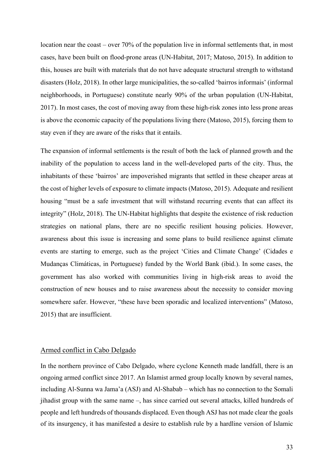location near the coast – over 70% of the population live in informal settlements that, in most cases, have been built on flood-prone areas (UN-Habitat, 2017; Matoso, 2015). In addition to this, houses are built with materials that do not have adequate structural strength to withstand disasters (Holz, 2018). In other large municipalities, the so-called 'bairros informais' (informal neighborhoods, in Portuguese) constitute nearly 90% of the urban population (UN-Habitat, 2017). In most cases, the cost of moving away from these high-risk zones into less prone areas is above the economic capacity of the populations living there (Matoso, 2015), forcing them to stay even if they are aware of the risks that it entails.

The expansion of informal settlements is the result of both the lack of planned growth and the inability of the population to access land in the well-developed parts of the city. Thus, the inhabitants of these 'bairros' are impoverished migrants that settled in these cheaper areas at the cost of higher levels of exposure to climate impacts (Matoso, 2015). Adequate and resilient housing "must be a safe investment that will withstand recurring events that can affect its integrity" (Holz, 2018). The UN-Habitat highlights that despite the existence of risk reduction strategies on national plans, there are no specific resilient housing policies. However, awareness about this issue is increasing and some plans to build resilience against climate events are starting to emerge, such as the project 'Cities and Climate Change' (Cidades e Mudanças Climáticas, in Portuguese) funded by the World Bank (ibid.). In some cases, the government has also worked with communities living in high-risk areas to avoid the construction of new houses and to raise awareness about the necessity to consider moving somewhere safer. However, "these have been sporadic and localized interventions" (Matoso, 2015) that are insufficient.

#### Armed conflict in Cabo Delgado

In the northern province of Cabo Delgado, where cyclone Kenneth made landfall, there is an ongoing armed conflict since 2017. An Islamist armed group locally known by several names, including Al-Sunna wa Jama'a (ASJ) and Al-Shabab – which has no connection to the Somali jihadist group with the same name –, has since carried out several attacks, killed hundreds of people and left hundreds of thousands displaced. Even though ASJ has not made clear the goals of its insurgency, it has manifested a desire to establish rule by a hardline version of Islamic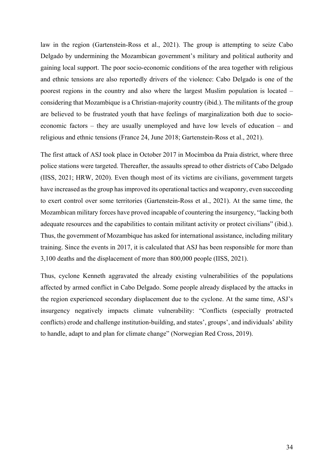law in the region (Gartenstein-Ross et al., 2021). The group is attempting to seize Cabo Delgado by undermining the Mozambican government's military and political authority and gaining local support. The poor socio-economic conditions of the area together with religious and ethnic tensions are also reportedly drivers of the violence: Cabo Delgado is one of the poorest regions in the country and also where the largest Muslim population is located – considering that Mozambique is a Christian-majority country (ibid.). The militants of the group are believed to be frustrated youth that have feelings of marginalization both due to socioeconomic factors – they are usually unemployed and have low levels of education – and religious and ethnic tensions (France 24, June 2018; Gartenstein-Ross et al., 2021).

The first attack of ASJ took place in October 2017 in Mocímboa da Praia district, where three police stations were targeted. Thereafter, the assaults spread to other districts of Cabo Delgado (IISS, 2021; HRW, 2020). Even though most of its victims are civilians, government targets have increased as the group has improved its operational tactics and weaponry, even succeeding to exert control over some territories (Gartenstein-Ross et al., 2021). At the same time, the Mozambican military forces have proved incapable of countering the insurgency, "lacking both adequate resources and the capabilities to contain militant activity or protect civilians" (ibid.). Thus, the government of Mozambique has asked for international assistance, including military training. Since the events in 2017, it is calculated that ASJ has been responsible for more than 3,100 deaths and the displacement of more than 800,000 people (IISS, 2021).

Thus, cyclone Kenneth aggravated the already existing vulnerabilities of the populations affected by armed conflict in Cabo Delgado. Some people already displaced by the attacks in the region experienced secondary displacement due to the cyclone. At the same time, ASJ's insurgency negatively impacts climate vulnerability: "Conflicts (especially protracted conflicts) erode and challenge institution-building, and states', groups', and individuals' ability to handle, adapt to and plan for climate change" (Norwegian Red Cross, 2019).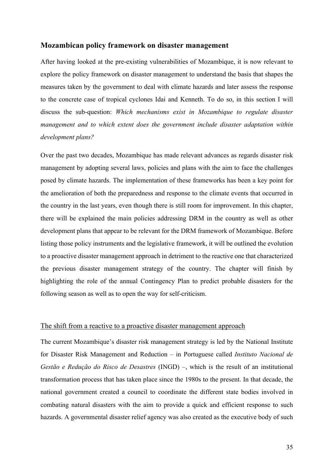#### **Mozambican policy framework on disaster management**

After having looked at the pre-existing vulnerabilities of Mozambique, it is now relevant to explore the policy framework on disaster management to understand the basis that shapes the measures taken by the government to deal with climate hazards and later assess the response to the concrete case of tropical cyclones Idai and Kenneth. To do so, in this section I will discuss the sub-question: *Which mechanisms exist in Mozambique to regulate disaster management and to which extent does the government include disaster adaptation within development plans?*

Over the past two decades, Mozambique has made relevant advances as regards disaster risk management by adopting several laws, policies and plans with the aim to face the challenges posed by climate hazards. The implementation of these frameworks has been a key point for the amelioration of both the preparedness and response to the climate events that occurred in the country in the last years, even though there is still room for improvement. In this chapter, there will be explained the main policies addressing DRM in the country as well as other development plans that appear to be relevant for the DRM framework of Mozambique. Before listing those policy instruments and the legislative framework, it will be outlined the evolution to a proactive disaster management approach in detriment to the reactive one that characterized the previous disaster management strategy of the country. The chapter will finish by highlighting the role of the annual Contingency Plan to predict probable disasters for the following season as well as to open the way for self-criticism.

#### The shift from a reactive to a proactive disaster management approach

The current Mozambique's disaster risk management strategy is led by the National Institute for Disaster Risk Management and Reduction – in Portuguese called *Instituto Nacional de Gestão e Redução do Risco de Desastres* (INGD) –, which is the result of an institutional transformation process that has taken place since the 1980s to the present. In that decade, the national government created a council to coordinate the different state bodies involved in combating natural disasters with the aim to provide a quick and efficient response to such hazards. A governmental disaster relief agency was also created as the executive body of such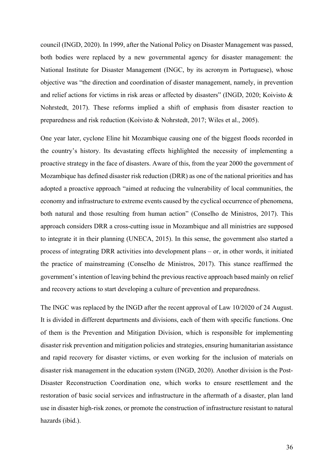council (INGD, 2020). In 1999, after the National Policy on Disaster Management was passed, both bodies were replaced by a new governmental agency for disaster management: the National Institute for Disaster Management (INGC, by its acronym in Portuguese), whose objective was "the direction and coordination of disaster management, namely, in prevention and relief actions for victims in risk areas or affected by disasters" (INGD, 2020; Koivisto & Nohrstedt, 2017). These reforms implied a shift of emphasis from disaster reaction to preparedness and risk reduction (Koivisto & Nohrstedt, 2017; Wiles et al., 2005).

One year later, cyclone Eline hit Mozambique causing one of the biggest floods recorded in the country's history. Its devastating effects highlighted the necessity of implementing a proactive strategy in the face of disasters. Aware of this, from the year 2000 the government of Mozambique has defined disaster risk reduction (DRR) as one of the national priorities and has adopted a proactive approach "aimed at reducing the vulnerability of local communities, the economy and infrastructure to extreme events caused by the cyclical occurrence of phenomena, both natural and those resulting from human action" (Conselho de Ministros, 2017). This approach considers DRR a cross-cutting issue in Mozambique and all ministries are supposed to integrate it in their planning (UNECA, 2015). In this sense, the government also started a process of integrating DRR activities into development plans – or, in other words, it initiated the practice of mainstreaming (Conselho de Ministros, 2017). This stance reaffirmed the government's intention of leaving behind the previous reactive approach based mainly on relief and recovery actions to start developing a culture of prevention and preparedness.

The INGC was replaced by the INGD after the recent approval of Law 10/2020 of 24 August. It is divided in different departments and divisions, each of them with specific functions. One of them is the Prevention and Mitigation Division, which is responsible for implementing disaster risk prevention and mitigation policies and strategies, ensuring humanitarian assistance and rapid recovery for disaster victims, or even working for the inclusion of materials on disaster risk management in the education system (INGD, 2020). Another division is the Post-Disaster Reconstruction Coordination one, which works to ensure resettlement and the restoration of basic social services and infrastructure in the aftermath of a disaster, plan land use in disaster high-risk zones, or promote the construction of infrastructure resistant to natural hazards (ibid.).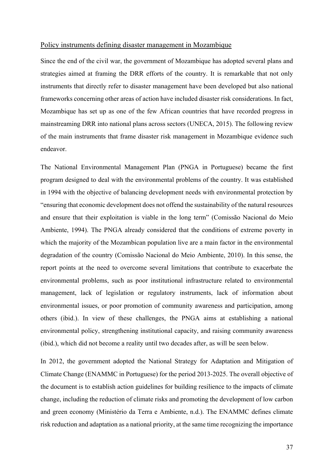#### Policy instruments defining disaster management in Mozambique

Since the end of the civil war, the government of Mozambique has adopted several plans and strategies aimed at framing the DRR efforts of the country. It is remarkable that not only instruments that directly refer to disaster management have been developed but also national frameworks concerning other areas of action have included disaster risk considerations. In fact, Mozambique has set up as one of the few African countries that have recorded progress in mainstreaming DRR into national plans across sectors (UNECA, 2015). The following review of the main instruments that frame disaster risk management in Mozambique evidence such endeavor.

The National Environmental Management Plan (PNGA in Portuguese) became the first program designed to deal with the environmental problems of the country. It was established in 1994 with the objective of balancing development needs with environmental protection by "ensuring that economic development does not offend the sustainability of the natural resources and ensure that their exploitation is viable in the long term" (Comissão Nacional do Meio Ambiente, 1994). The PNGA already considered that the conditions of extreme poverty in which the majority of the Mozambican population live are a main factor in the environmental degradation of the country (Comissão Nacional do Meio Ambiente, 2010). In this sense, the report points at the need to overcome several limitations that contribute to exacerbate the environmental problems, such as poor institutional infrastructure related to environmental management, lack of legislation or regulatory instruments, lack of information about environmental issues, or poor promotion of community awareness and participation, among others (ibid.). In view of these challenges, the PNGA aims at establishing a national environmental policy, strengthening institutional capacity, and raising community awareness (ibid.), which did not become a reality until two decades after, as will be seen below.

In 2012, the government adopted the National Strategy for Adaptation and Mitigation of Climate Change (ENAMMC in Portuguese) for the period 2013-2025. The overall objective of the document is to establish action guidelines for building resilience to the impacts of climate change, including the reduction of climate risks and promoting the development of low carbon and green economy (Ministério da Terra e Ambiente, n.d.). The ENAMMC defines climate risk reduction and adaptation as a national priority, at the same time recognizing the importance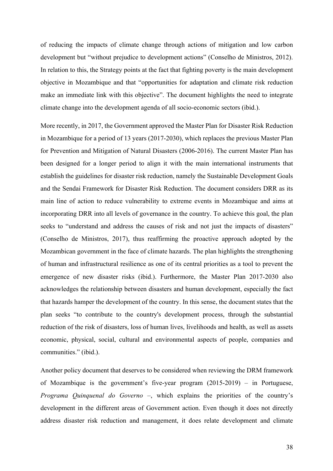of reducing the impacts of climate change through actions of mitigation and low carbon development but "without prejudice to development actions" (Conselho de Ministros, 2012). In relation to this, the Strategy points at the fact that fighting poverty is the main development objective in Mozambique and that "opportunities for adaptation and climate risk reduction make an immediate link with this objective". The document highlights the need to integrate climate change into the development agenda of all socio-economic sectors (ibid.).

More recently, in 2017, the Government approved the Master Plan for Disaster Risk Reduction in Mozambique for a period of 13 years (2017-2030), which replaces the previous Master Plan for Prevention and Mitigation of Natural Disasters (2006-2016). The current Master Plan has been designed for a longer period to align it with the main international instruments that establish the guidelines for disaster risk reduction, namely the Sustainable Development Goals and the Sendai Framework for Disaster Risk Reduction. The document considers DRR as its main line of action to reduce vulnerability to extreme events in Mozambique and aims at incorporating DRR into all levels of governance in the country. To achieve this goal, the plan seeks to "understand and address the causes of risk and not just the impacts of disasters" (Conselho de Ministros, 2017), thus reaffirming the proactive approach adopted by the Mozambican government in the face of climate hazards. The plan highlights the strengthening of human and infrastructural resilience as one of its central priorities as a tool to prevent the emergence of new disaster risks (ibid.). Furthermore, the Master Plan 2017-2030 also acknowledges the relationship between disasters and human development, especially the fact that hazards hamper the development of the country. In this sense, the document states that the plan seeks "to contribute to the country's development process, through the substantial reduction of the risk of disasters, loss of human lives, livelihoods and health, as well as assets economic, physical, social, cultural and environmental aspects of people, companies and communities." (ibid.).

Another policy document that deserves to be considered when reviewing the DRM framework of Mozambique is the government's five-year program (2015-2019) – in Portuguese, *Programa Quinquenal do Governo* –, which explains the priorities of the country's development in the different areas of Government action. Even though it does not directly address disaster risk reduction and management, it does relate development and climate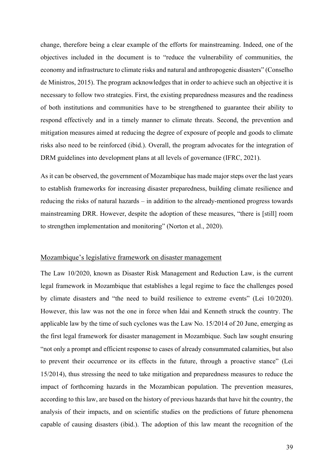change, therefore being a clear example of the efforts for mainstreaming. Indeed, one of the objectives included in the document is to "reduce the vulnerability of communities, the economy and infrastructure to climate risks and natural and anthropogenic disasters" (Conselho de Ministros, 2015). The program acknowledges that in order to achieve such an objective it is necessary to follow two strategies. First, the existing preparedness measures and the readiness of both institutions and communities have to be strengthened to guarantee their ability to respond effectively and in a timely manner to climate threats. Second, the prevention and mitigation measures aimed at reducing the degree of exposure of people and goods to climate risks also need to be reinforced (ibid.). Overall, the program advocates for the integration of DRM guidelines into development plans at all levels of governance (IFRC, 2021).

As it can be observed, the government of Mozambique has made major steps over the last years to establish frameworks for increasing disaster preparedness, building climate resilience and reducing the risks of natural hazards – in addition to the already-mentioned progress towards mainstreaming DRR. However, despite the adoption of these measures, "there is [still] room to strengthen implementation and monitoring" (Norton et al., 2020).

#### Mozambique's legislative framework on disaster management

The Law 10/2020, known as Disaster Risk Management and Reduction Law, is the current legal framework in Mozambique that establishes a legal regime to face the challenges posed by climate disasters and "the need to build resilience to extreme events" (Lei 10/2020). However, this law was not the one in force when Idai and Kenneth struck the country. The applicable law by the time of such cyclones was the Law No. 15/2014 of 20 June, emerging as the first legal framework for disaster management in Mozambique. Such law sought ensuring "not only a prompt and efficient response to cases of already consummated calamities, but also to prevent their occurrence or its effects in the future, through a proactive stance" (Lei 15/2014), thus stressing the need to take mitigation and preparedness measures to reduce the impact of forthcoming hazards in the Mozambican population. The prevention measures, according to this law, are based on the history of previous hazards that have hit the country, the analysis of their impacts, and on scientific studies on the predictions of future phenomena capable of causing disasters (ibid.). The adoption of this law meant the recognition of the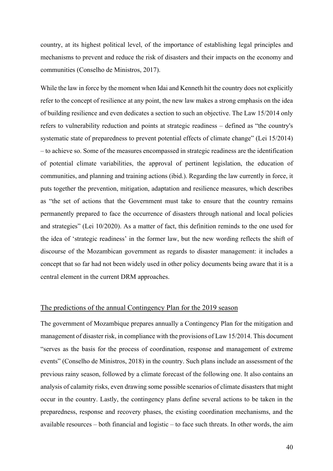country, at its highest political level, of the importance of establishing legal principles and mechanisms to prevent and reduce the risk of disasters and their impacts on the economy and communities (Conselho de Ministros, 2017).

While the law in force by the moment when Idai and Kenneth hit the country does not explicitly refer to the concept of resilience at any point, the new law makes a strong emphasis on the idea of building resilience and even dedicates a section to such an objective. The Law 15/2014 only refers to vulnerability reduction and points at strategic readiness – defined as "the country's systematic state of preparedness to prevent potential effects of climate change" (Lei 15/2014) – to achieve so. Some of the measures encompassed in strategic readiness are the identification of potential climate variabilities, the approval of pertinent legislation, the education of communities, and planning and training actions (ibid.). Regarding the law currently in force, it puts together the prevention, mitigation, adaptation and resilience measures, which describes as "the set of actions that the Government must take to ensure that the country remains permanently prepared to face the occurrence of disasters through national and local policies and strategies" (Lei 10/2020). As a matter of fact, this definition reminds to the one used for the idea of 'strategic readiness' in the former law, but the new wording reflects the shift of discourse of the Mozambican government as regards to disaster management: it includes a concept that so far had not been widely used in other policy documents being aware that it is a central element in the current DRM approaches.

#### The predictions of the annual Contingency Plan for the 2019 season

The government of Mozambique prepares annually a Contingency Plan for the mitigation and management of disaster risk, in compliance with the provisions of Law 15/2014. This document "serves as the basis for the process of coordination, response and management of extreme events" (Conselho de Ministros, 2018) in the country. Such plans include an assessment of the previous rainy season, followed by a climate forecast of the following one. It also contains an analysis of calamity risks, even drawing some possible scenarios of climate disasters that might occur in the country. Lastly, the contingency plans define several actions to be taken in the preparedness, response and recovery phases, the existing coordination mechanisms, and the available resources – both financial and logistic – to face such threats. In other words, the aim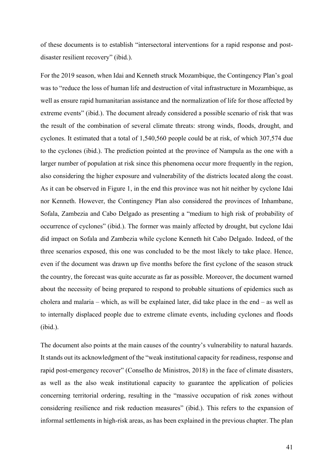of these documents is to establish "intersectoral interventions for a rapid response and postdisaster resilient recovery" (ibid.).

For the 2019 season, when Idai and Kenneth struck Mozambique, the Contingency Plan's goal was to "reduce the loss of human life and destruction of vital infrastructure in Mozambique, as well as ensure rapid humanitarian assistance and the normalization of life for those affected by extreme events" (ibid.). The document already considered a possible scenario of risk that was the result of the combination of several climate threats: strong winds, floods, drought, and cyclones. It estimated that a total of 1,540,560 people could be at risk, of which 307,574 due to the cyclones (ibid.). The prediction pointed at the province of Nampula as the one with a larger number of population at risk since this phenomena occur more frequently in the region, also considering the higher exposure and vulnerability of the districts located along the coast. As it can be observed in Figure 1, in the end this province was not hit neither by cyclone Idai nor Kenneth. However, the Contingency Plan also considered the provinces of Inhambane, Sofala, Zambezia and Cabo Delgado as presenting a "medium to high risk of probability of occurrence of cyclones" (ibid.). The former was mainly affected by drought, but cyclone Idai did impact on Sofala and Zambezia while cyclone Kenneth hit Cabo Delgado. Indeed, of the three scenarios exposed, this one was concluded to be the most likely to take place. Hence, even if the document was drawn up five months before the first cyclone of the season struck the country, the forecast was quite accurate as far as possible. Moreover, the document warned about the necessity of being prepared to respond to probable situations of epidemics such as cholera and malaria – which, as will be explained later, did take place in the end – as well as to internally displaced people due to extreme climate events, including cyclones and floods (ibid.).

The document also points at the main causes of the country's vulnerability to natural hazards. It stands out its acknowledgment of the "weak institutional capacity for readiness, response and rapid post-emergency recover" (Conselho de Ministros, 2018) in the face of climate disasters, as well as the also weak institutional capacity to guarantee the application of policies concerning territorial ordering, resulting in the "massive occupation of risk zones without considering resilience and risk reduction measures" (ibid.). This refers to the expansion of informal settlements in high-risk areas, as has been explained in the previous chapter. The plan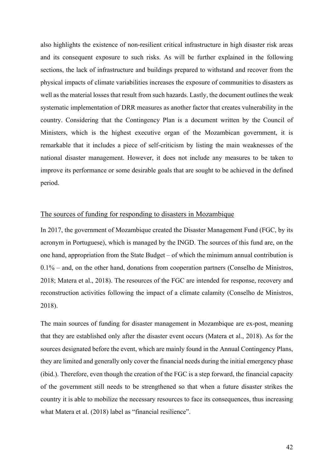also highlights the existence of non-resilient critical infrastructure in high disaster risk areas and its consequent exposure to such risks. As will be further explained in the following sections, the lack of infrastructure and buildings prepared to withstand and recover from the physical impacts of climate variabilities increases the exposure of communities to disasters as well as the material losses that result from such hazards. Lastly, the document outlines the weak systematic implementation of DRR measures as another factor that creates vulnerability in the country. Considering that the Contingency Plan is a document written by the Council of Ministers, which is the highest executive organ of the Mozambican government, it is remarkable that it includes a piece of self-criticism by listing the main weaknesses of the national disaster management. However, it does not include any measures to be taken to improve its performance or some desirable goals that are sought to be achieved in the defined period.

## The sources of funding for responding to disasters in Mozambique

In 2017, the government of Mozambique created the Disaster Management Fund (FGC, by its acronym in Portuguese), which is managed by the INGD. The sources of this fund are, on the one hand, appropriation from the State Budget – of which the minimum annual contribution is  $0.1\%$  – and, on the other hand, donations from cooperation partners (Conselho de Ministros, 2018; Matera et al., 2018). The resources of the FGC are intended for response, recovery and reconstruction activities following the impact of a climate calamity (Conselho de Ministros, 2018).

The main sources of funding for disaster management in Mozambique are ex-post, meaning that they are established only after the disaster event occurs (Matera et al., 2018). As for the sources designated before the event, which are mainly found in the Annual Contingency Plans, they are limited and generally only cover the financial needs during the initial emergency phase (ibid.). Therefore, even though the creation of the FGC is a step forward, the financial capacity of the government still needs to be strengthened so that when a future disaster strikes the country it is able to mobilize the necessary resources to face its consequences, thus increasing what Matera et al. (2018) label as "financial resilience".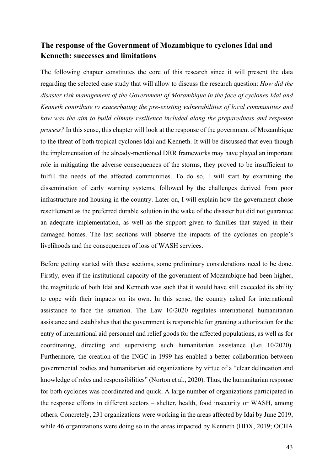## **The response of the Government of Mozambique to cyclones Idai and Kenneth: successes and limitations**

The following chapter constitutes the core of this research since it will present the data regarding the selected case study that will allow to discuss the research question: *How did the disaster risk management of the Government of Mozambique in the face of cyclones Idai and Kenneth contribute to exacerbating the pre-existing vulnerabilities of local communities and how was the aim to build climate resilience included along the preparedness and response process?* In this sense, this chapter will look at the response of the government of Mozambique to the threat of both tropical cyclones Idai and Kenneth. It will be discussed that even though the implementation of the already-mentioned DRR frameworks may have played an important role in mitigating the adverse consequences of the storms, they proved to be insufficient to fulfill the needs of the affected communities. To do so, I will start by examining the dissemination of early warning systems, followed by the challenges derived from poor infrastructure and housing in the country. Later on, I will explain how the government chose resettlement as the preferred durable solution in the wake of the disaster but did not guarantee an adequate implementation, as well as the support given to families that stayed in their damaged homes. The last sections will observe the impacts of the cyclones on people's livelihoods and the consequences of loss of WASH services.

Before getting started with these sections, some preliminary considerations need to be done. Firstly, even if the institutional capacity of the government of Mozambique had been higher, the magnitude of both Idai and Kenneth was such that it would have still exceeded its ability to cope with their impacts on its own. In this sense, the country asked for international assistance to face the situation. The Law 10/2020 regulates international humanitarian assistance and establishes that the government is responsible for granting authorization for the entry of international aid personnel and relief goods for the affected populations, as well as for coordinating, directing and supervising such humanitarian assistance (Lei 10/2020). Furthermore, the creation of the INGC in 1999 has enabled a better collaboration between governmental bodies and humanitarian aid organizations by virtue of a "clear delineation and knowledge of roles and responsibilities" (Norton et al., 2020). Thus, the humanitarian response for both cyclones was coordinated and quick. A large number of organizations participated in the response efforts in different sectors – shelter, health, food insecurity or WASH, among others. Concretely, 231 organizations were working in the areas affected by Idai by June 2019, while 46 organizations were doing so in the areas impacted by Kenneth (HDX, 2019; OCHA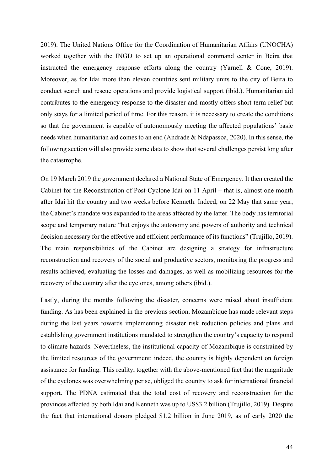2019). The United Nations Office for the Coordination of Humanitarian Affairs (UNOCHA) worked together with the INGD to set up an operational command center in Beira that instructed the emergency response efforts along the country (Yarnell & Cone, 2019). Moreover, as for Idai more than eleven countries sent military units to the city of Beira to conduct search and rescue operations and provide logistical support (ibid.). Humanitarian aid contributes to the emergency response to the disaster and mostly offers short-term relief but only stays for a limited period of time. For this reason, it is necessary to create the conditions so that the government is capable of autonomously meeting the affected populations' basic needs when humanitarian aid comes to an end (Andrade & Ndapassoa, 2020). In this sense, the following section will also provide some data to show that several challenges persist long after the catastrophe.

On 19 March 2019 the government declared a National State of Emergency. It then created the Cabinet for the Reconstruction of Post-Cyclone Idai on 11 April – that is, almost one month after Idai hit the country and two weeks before Kenneth. Indeed, on 22 May that same year, the Cabinet's mandate was expanded to the areas affected by the latter. The body has territorial scope and temporary nature "but enjoys the autonomy and powers of authority and technical decision necessary for the effective and efficient performance of its functions" (Trujillo, 2019). The main responsibilities of the Cabinet are designing a strategy for infrastructure reconstruction and recovery of the social and productive sectors, monitoring the progress and results achieved, evaluating the losses and damages, as well as mobilizing resources for the recovery of the country after the cyclones, among others (ibid.).

Lastly, during the months following the disaster, concerns were raised about insufficient funding. As has been explained in the previous section, Mozambique has made relevant steps during the last years towards implementing disaster risk reduction policies and plans and establishing government institutions mandated to strengthen the country's capacity to respond to climate hazards. Nevertheless, the institutional capacity of Mozambique is constrained by the limited resources of the government: indeed, the country is highly dependent on foreign assistance for funding. This reality, together with the above-mentioned fact that the magnitude of the cyclones was overwhelming per se, obliged the country to ask for international financial support. The PDNA estimated that the total cost of recovery and reconstruction for the provinces affected by both Idai and Kenneth was up to US\$3.2 billion (Trujillo, 2019). Despite the fact that international donors pledged \$1.2 billion in June 2019, as of early 2020 the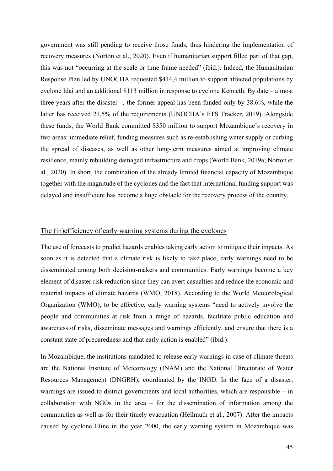government was still pending to receive those funds, thus hindering the implementation of recovery measures (Norton et al., 2020). Even if humanitarian support filled part of that gap, this was not "occurring at the scale or time frame needed" (ibid.). Indeed, the Humanitarian Response Plan led by UNOCHA requested \$414,4 million to support affected populations by cyclone Idai and an additional \$113 million in response to cyclone Kenneth. By date – almost three years after the disaster –, the former appeal has been funded only by 38.6%, while the latter has received 21.5% of the requirements (UNOCHA's FTS Tracker, 2019). Alongside these funds, the World Bank committed \$350 million to support Mozambique's recovery in two areas: immediate relief, funding measures such as re-establishing water supply or curbing the spread of diseases, as well as other long-term measures aimed at improving climate resilience, mainly rebuilding damaged infrastructure and crops (World Bank, 2019a; Norton et al., 2020). In short, the combination of the already limited financial capacity of Mozambique together with the magnitude of the cyclones and the fact that international funding support was delayed and insufficient has become a huge obstacle for the recovery process of the country.

#### The (in)efficiency of early warning systems during the cyclones

The use of forecasts to predict hazards enables taking early action to mitigate their impacts. As soon as it is detected that a climate risk is likely to take place, early warnings need to be disseminated among both decision-makers and communities. Early warnings become a key element of disaster risk reduction since they can avert casualties and reduce the economic and material impacts of climate hazards (WMO, 2018). According to the World Meteorological Organization (WMO), to be effective, early warning systems "need to actively involve the people and communities at risk from a range of hazards, facilitate public education and awareness of risks, disseminate messages and warnings efficiently, and ensure that there is a constant state of preparedness and that early action is enabled" (ibid.).

In Mozambique, the institutions mandated to release early warnings in case of climate threats are the National Institute of Meteorology (INAM) and the National Directorate of Water Resources Management (DNGRH), coordinated by the INGD. In the face of a disaster, warnings are issued to district governments and local authorities, which are responsible – in collaboration with NGOs in the area – for the dissemination of information among the communities as well as for their timely evacuation (Hellmuth et al., 2007). After the impacts caused by cyclone Eline in the year 2000, the early warning system in Mozambique was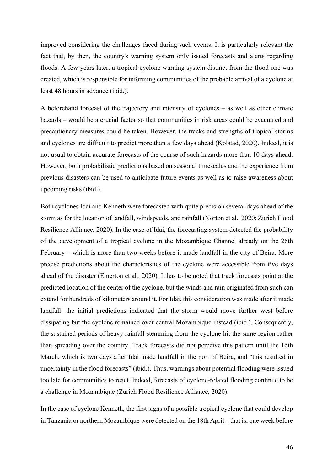improved considering the challenges faced during such events. It is particularly relevant the fact that, by then, the country's warning system only issued forecasts and alerts regarding floods. A few years later, a tropical cyclone warning system distinct from the flood one was created, which is responsible for informing communities of the probable arrival of a cyclone at least 48 hours in advance (ibid.).

A beforehand forecast of the trajectory and intensity of cyclones – as well as other climate hazards – would be a crucial factor so that communities in risk areas could be evacuated and precautionary measures could be taken. However, the tracks and strengths of tropical storms and cyclones are difficult to predict more than a few days ahead (Kolstad, 2020). Indeed, it is not usual to obtain accurate forecasts of the course of such hazards more than 10 days ahead. However, both probabilistic predictions based on seasonal timescales and the experience from previous disasters can be used to anticipate future events as well as to raise awareness about upcoming risks (ibid.).

Both cyclones Idai and Kenneth were forecasted with quite precision several days ahead of the storm as for the location of landfall, windspeeds, and rainfall (Norton et al., 2020; Zurich Flood Resilience Alliance, 2020). In the case of Idai, the forecasting system detected the probability of the development of a tropical cyclone in the Mozambique Channel already on the 26th February – which is more than two weeks before it made landfall in the city of Beira. More precise predictions about the characteristics of the cyclone were accessible from five days ahead of the disaster (Emerton et al., 2020). It has to be noted that track forecasts point at the predicted location of the center of the cyclone, but the winds and rain originated from such can extend for hundreds of kilometers around it. For Idai, this consideration was made after it made landfall: the initial predictions indicated that the storm would move further west before dissipating but the cyclone remained over central Mozambique instead (ibid.). Consequently, the sustained periods of heavy rainfall stemming from the cyclone hit the same region rather than spreading over the country. Track forecasts did not perceive this pattern until the 16th March, which is two days after Idai made landfall in the port of Beira, and "this resulted in uncertainty in the flood forecasts" (ibid.). Thus, warnings about potential flooding were issued too late for communities to react. Indeed, forecasts of cyclone-related flooding continue to be a challenge in Mozambique (Zurich Flood Resilience Alliance, 2020).

In the case of cyclone Kenneth, the first signs of a possible tropical cyclone that could develop in Tanzania or northern Mozambique were detected on the 18th April – that is, one week before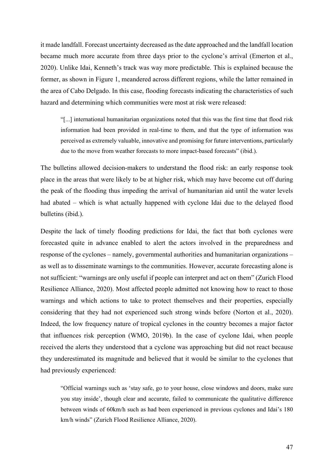it made landfall. Forecast uncertainty decreased as the date approached and the landfall location became much more accurate from three days prior to the cyclone's arrival (Emerton et al., 2020). Unlike Idai, Kenneth's track was way more predictable. This is explained because the former, as shown in Figure 1, meandered across different regions, while the latter remained in the area of Cabo Delgado. In this case, flooding forecasts indicating the characteristics of such hazard and determining which communities were most at risk were released:

"[...] international humanitarian organizations noted that this was the first time that flood risk information had been provided in real-time to them, and that the type of information was perceived as extremely valuable, innovative and promising for future interventions, particularly due to the move from weather forecasts to more impact-based forecasts" (ibid.).

The bulletins allowed decision-makers to understand the flood risk: an early response took place in the areas that were likely to be at higher risk, which may have become cut off during the peak of the flooding thus impeding the arrival of humanitarian aid until the water levels had abated – which is what actually happened with cyclone Idai due to the delayed flood bulletins (ibid.).

Despite the lack of timely flooding predictions for Idai, the fact that both cyclones were forecasted quite in advance enabled to alert the actors involved in the preparedness and response of the cyclones – namely, governmental authorities and humanitarian organizations – as well as to disseminate warnings to the communities. However, accurate forecasting alone is not sufficient: "warnings are only useful if people can interpret and act on them" (Zurich Flood Resilience Alliance, 2020). Most affected people admitted not knowing how to react to those warnings and which actions to take to protect themselves and their properties, especially considering that they had not experienced such strong winds before (Norton et al., 2020). Indeed, the low frequency nature of tropical cyclones in the country becomes a major factor that influences risk perception (WMO, 2019b). In the case of cyclone Idai, when people received the alerts they understood that a cyclone was approaching but did not react because they underestimated its magnitude and believed that it would be similar to the cyclones that had previously experienced:

"Official warnings such as 'stay safe, go to your house, close windows and doors, make sure you stay inside', though clear and accurate, failed to communicate the qualitative difference between winds of 60km/h such as had been experienced in previous cyclones and Idai's 180 km/h winds" (Zurich Flood Resilience Alliance, 2020).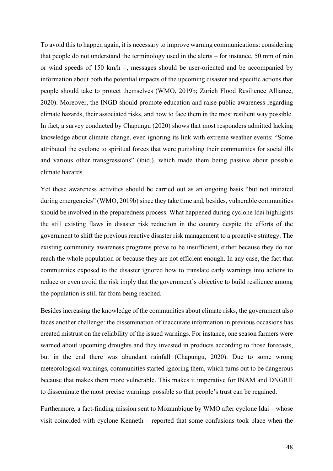To avoid this to happen again, it is necessary to improve warning communications: considering that people do not understand the terminology used in the alerts – for instance, 50 mm of rain or wind speeds of 150 km/h –, messages should be user-oriented and be accompanied by information about both the potential impacts of the upcoming disaster and specific actions that people should take to protect themselves (WMO, 2019b; Zurich Flood Resilience Alliance, 2020). Moreover, the INGD should promote education and raise public awareness regarding climate hazards, their associated risks, and how to face them in the most resilient way possible. In fact, a survey conducted by Chapungu (2020) shows that most responders admitted lacking knowledge about climate change, even ignoring its link with extreme weather events: "Some attributed the cyclone to spiritual forces that were punishing their communities for social ills and various other transgressions" (ibid.), which made them being passive about possible climate hazards.

Yet these awareness activities should be carried out as an ongoing basis "but not initiated during emergencies" (WMO, 2019b) since they take time and, besides, vulnerable communities should be involved in the preparedness process. What happened during cyclone Idai highlights the still existing flaws in disaster risk reduction in the country despite the efforts of the government to shift the previous reactive disaster risk management to a proactive strategy. The existing community awareness programs prove to be insufficient, either because they do not reach the whole population or because they are not efficient enough. In any case, the fact that communities exposed to the disaster ignored how to translate early warnings into actions to reduce or even avoid the risk imply that the government's objective to build resilience among the population is still far from being reached.

Besides increasing the knowledge of the communities about climate risks, the government also faces another challenge: the dissemination of inaccurate information in previous occasions has created mistrust on the reliability of the issued warnings. For instance, one season farmers were warned about upcoming droughts and they invested in products according to those forecasts, but in the end there was abundant rainfall (Chapungu, 2020). Due to some wrong meteorological warnings, communities started ignoring them, which turns out to be dangerous because that makes them more vulnerable. This makes it imperative for INAM and DNGRH to disseminate the most precise warnings possible so that people's trust can be regained.

Furthermore, a fact-finding mission sent to Mozambique by WMO after cyclone Idai – whose visit coincided with cyclone Kenneth – reported that some confusions took place when the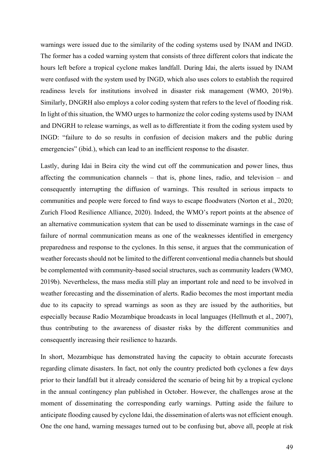warnings were issued due to the similarity of the coding systems used by INAM and INGD. The former has a coded warning system that consists of three different colors that indicate the hours left before a tropical cyclone makes landfall. During Idai, the alerts issued by INAM were confused with the system used by INGD, which also uses colors to establish the required readiness levels for institutions involved in disaster risk management (WMO, 2019b). Similarly, DNGRH also employs a color coding system that refers to the level of flooding risk. In light of this situation, the WMO urges to harmonize the color coding systems used by INAM and DNGRH to release warnings, as well as to differentiate it from the coding system used by INGD: "failure to do so results in confusion of decision makers and the public during emergencies" (ibid.), which can lead to an inefficient response to the disaster.

Lastly, during Idai in Beira city the wind cut off the communication and power lines, thus affecting the communication channels – that is, phone lines, radio, and television – and consequently interrupting the diffusion of warnings. This resulted in serious impacts to communities and people were forced to find ways to escape floodwaters (Norton et al., 2020; Zurich Flood Resilience Alliance, 2020). Indeed, the WMO's report points at the absence of an alternative communication system that can be used to disseminate warnings in the case of failure of normal communication means as one of the weaknesses identified in emergency preparedness and response to the cyclones. In this sense, it argues that the communication of weather forecasts should not be limited to the different conventional media channels but should be complemented with community-based social structures, such as community leaders (WMO, 2019b). Nevertheless, the mass media still play an important role and need to be involved in weather forecasting and the dissemination of alerts. Radio becomes the most important media due to its capacity to spread warnings as soon as they are issued by the authorities, but especially because Radio Mozambique broadcasts in local languages (Hellmuth et al., 2007), thus contributing to the awareness of disaster risks by the different communities and consequently increasing their resilience to hazards.

In short, Mozambique has demonstrated having the capacity to obtain accurate forecasts regarding climate disasters. In fact, not only the country predicted both cyclones a few days prior to their landfall but it already considered the scenario of being hit by a tropical cyclone in the annual contingency plan published in October. However, the challenges arose at the moment of disseminating the corresponding early warnings. Putting aside the failure to anticipate flooding caused by cyclone Idai, the dissemination of alerts was not efficient enough. One the one hand, warning messages turned out to be confusing but, above all, people at risk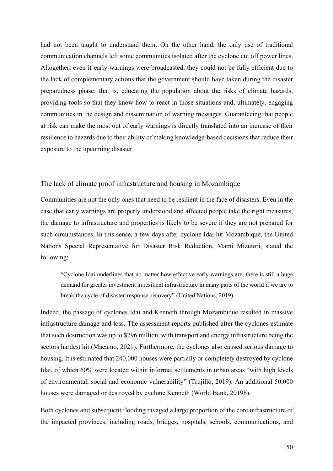had not been taught to understand them. On the other hand, the only use of traditional communication channels left some communities isolated after the cyclone cut off power lines. Altogether, even if early warnings were broadcasted, they could not be fully efficient due to the lack of complementary actions that the government should have taken during the disaster preparedness phase: that is, educating the population about the risks of climate hazards, providing tools so that they know how to react in those situations and, ultimately, engaging communities in the design and dissemination of warning messages. Guaranteeing that people at risk can make the most out of early warnings is directly translated into an increase of their resilience to hazards due to their ability of making knowledge-based decisions that reduce their exposure to the upcoming disaster.

### The lack of climate proof infrastructure and housing in Mozambique

Communities are not the only ones that need to be resilient in the face of disasters. Even in the case that early warnings are properly understood and affected people take the right measures, the damage to infrastructure and properties is likely to be severe if they are not prepared for such circumstances. In this sense, a few days after cyclone Idai hit Mozambique, the United Nations Special Representative for Disaster Risk Reduction, Mami Mizutori, stated the following:

"Cyclone Idai underlines that no matter how effective early warnings are, there is still a huge demand for greater investment in resilient infrastructure in many parts of the world if we are to break the cycle of disaster-response-recovery" (United Nations, 2019).

Indeed, the passage of cyclones Idai and Kenneth through Mozambique resulted in massive infrastructure damage and loss. The assessment reports published after the cyclones estimate that such destruction was up to \$796 million, with transport and energy infrastructure being the sectors hardest hit (Macamo, 2021). Furthermore, the cyclones also caused serious damage to housing. It is estimated that 240,000 houses were partially or completely destroyed by cyclone Idai, of which 60% were located within informal settlements in urban areas "with high levels of environmental, social and economic vulnerability" (Trujillo, 2019). An additional 50,000 houses were damaged or destroyed by cyclone Kenneth (World Bank, 2019b).

Both cyclones and subsequent flooding ravaged a large proportion of the core infrastructure of the impacted provinces, including roads, bridges, hospitals, schools, communications, and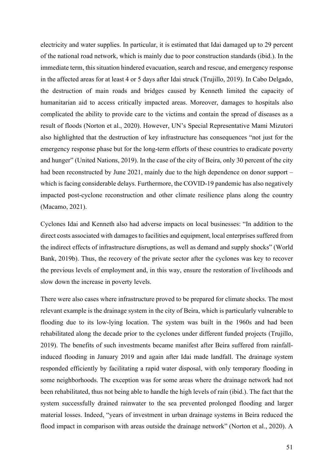electricity and water supplies. In particular, it is estimated that Idai damaged up to 29 percent of the national road network, which is mainly due to poor construction standards (ibid.). In the immediate term, this situation hindered evacuation, search and rescue, and emergency response in the affected areas for at least 4 or 5 days after Idai struck (Trujillo, 2019). In Cabo Delgado, the destruction of main roads and bridges caused by Kenneth limited the capacity of humanitarian aid to access critically impacted areas. Moreover, damages to hospitals also complicated the ability to provide care to the victims and contain the spread of diseases as a result of floods (Norton et al., 2020). However, UN's Special Representative Mami Mizutori also highlighted that the destruction of key infrastructure has consequences "not just for the emergency response phase but for the long-term efforts of these countries to eradicate poverty and hunger" (United Nations, 2019). In the case of the city of Beira, only 30 percent of the city had been reconstructed by June 2021, mainly due to the high dependence on donor support – which is facing considerable delays. Furthermore, the COVID-19 pandemic has also negatively impacted post-cyclone reconstruction and other climate resilience plans along the country (Macamo, 2021).

Cyclones Idai and Kenneth also had adverse impacts on local businesses: "In addition to the direct costs associated with damages to facilities and equipment, local enterprises suffered from the indirect effects of infrastructure disruptions, as well as demand and supply shocks" (World Bank, 2019b). Thus, the recovery of the private sector after the cyclones was key to recover the previous levels of employment and, in this way, ensure the restoration of livelihoods and slow down the increase in poverty levels.

There were also cases where infrastructure proved to be prepared for climate shocks. The most relevant example is the drainage system in the city of Beira, which is particularly vulnerable to flooding due to its low-lying location. The system was built in the 1960s and had been rehabilitated along the decade prior to the cyclones under different funded projects (Trujillo, 2019). The benefits of such investments became manifest after Beira suffered from rainfallinduced flooding in January 2019 and again after Idai made landfall. The drainage system responded efficiently by facilitating a rapid water disposal, with only temporary flooding in some neighborhoods. The exception was for some areas where the drainage network had not been rehabilitated, thus not being able to handle the high levels of rain (ibid.). The fact that the system successfully drained rainwater to the sea prevented prolonged flooding and larger material losses. Indeed, "years of investment in urban drainage systems in Beira reduced the flood impact in comparison with areas outside the drainage network" (Norton et al., 2020). A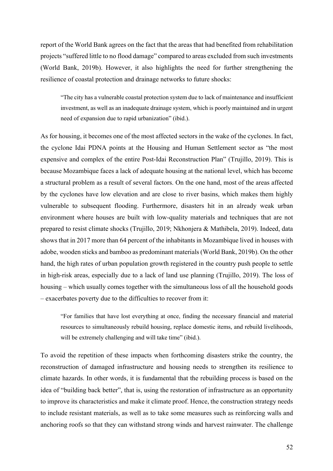report of the World Bank agrees on the fact that the areas that had benefited from rehabilitation projects "suffered little to no flood damage" compared to areas excluded from such investments (World Bank, 2019b). However, it also highlights the need for further strengthening the resilience of coastal protection and drainage networks to future shocks:

"The city has a vulnerable coastal protection system due to lack of maintenance and insufficient investment, as well as an inadequate drainage system, which is poorly maintained and in urgent need of expansion due to rapid urbanization" (ibid.).

As for housing, it becomes one of the most affected sectors in the wake of the cyclones. In fact, the cyclone Idai PDNA points at the Housing and Human Settlement sector as "the most expensive and complex of the entire Post-Idai Reconstruction Plan" (Trujillo, 2019). This is because Mozambique faces a lack of adequate housing at the national level, which has become a structural problem as a result of several factors. On the one hand, most of the areas affected by the cyclones have low elevation and are close to river basins, which makes them highly vulnerable to subsequent flooding. Furthermore, disasters hit in an already weak urban environment where houses are built with low-quality materials and techniques that are not prepared to resist climate shocks (Trujillo, 2019; Nkhonjera & Mathibela, 2019). Indeed, data shows that in 2017 more than 64 percent of the inhabitants in Mozambique lived in houses with adobe, wooden sticks and bamboo as predominant materials (World Bank, 2019b). On the other hand, the high rates of urban population growth registered in the country push people to settle in high-risk areas, especially due to a lack of land use planning (Trujillo, 2019). The loss of housing – which usually comes together with the simultaneous loss of all the household goods – exacerbates poverty due to the difficulties to recover from it:

"For families that have lost everything at once, finding the necessary financial and material resources to simultaneously rebuild housing, replace domestic items, and rebuild livelihoods, will be extremely challenging and will take time" (ibid.).

To avoid the repetition of these impacts when forthcoming disasters strike the country, the reconstruction of damaged infrastructure and housing needs to strengthen its resilience to climate hazards. In other words, it is fundamental that the rebuilding process is based on the idea of "building back better", that is, using the restoration of infrastructure as an opportunity to improve its characteristics and make it climate proof. Hence, the construction strategy needs to include resistant materials, as well as to take some measures such as reinforcing walls and anchoring roofs so that they can withstand strong winds and harvest rainwater. The challenge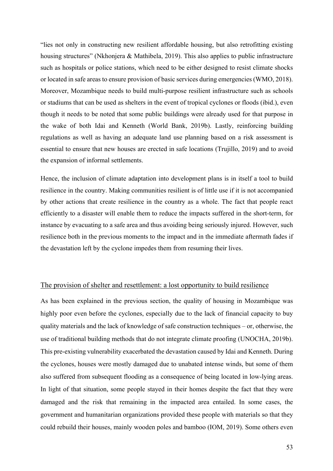"lies not only in constructing new resilient affordable housing, but also retrofitting existing housing structures" (Nkhonjera & Mathibela, 2019). This also applies to public infrastructure such as hospitals or police stations, which need to be either designed to resist climate shocks or located in safe areas to ensure provision of basic services during emergencies (WMO, 2018). Moreover, Mozambique needs to build multi-purpose resilient infrastructure such as schools or stadiums that can be used as shelters in the event of tropical cyclones or floods (ibid.), even though it needs to be noted that some public buildings were already used for that purpose in the wake of both Idai and Kenneth (World Bank, 2019b). Lastly, reinforcing building regulations as well as having an adequate land use planning based on a risk assessment is essential to ensure that new houses are erected in safe locations (Trujillo, 2019) and to avoid the expansion of informal settlements.

Hence, the inclusion of climate adaptation into development plans is in itself a tool to build resilience in the country. Making communities resilient is of little use if it is not accompanied by other actions that create resilience in the country as a whole. The fact that people react efficiently to a disaster will enable them to reduce the impacts suffered in the short-term, for instance by evacuating to a safe area and thus avoiding being seriously injured. However, such resilience both in the previous moments to the impact and in the immediate aftermath fades if the devastation left by the cyclone impedes them from resuming their lives.

## The provision of shelter and resettlement: a lost opportunity to build resilience

As has been explained in the previous section, the quality of housing in Mozambique was highly poor even before the cyclones, especially due to the lack of financial capacity to buy quality materials and the lack of knowledge of safe construction techniques – or, otherwise, the use of traditional building methods that do not integrate climate proofing (UNOCHA, 2019b). This pre-existing vulnerability exacerbated the devastation caused by Idai and Kenneth. During the cyclones, houses were mostly damaged due to unabated intense winds, but some of them also suffered from subsequent flooding as a consequence of being located in low-lying areas. In light of that situation, some people stayed in their homes despite the fact that they were damaged and the risk that remaining in the impacted area entailed. In some cases, the government and humanitarian organizations provided these people with materials so that they could rebuild their houses, mainly wooden poles and bamboo (IOM, 2019). Some others even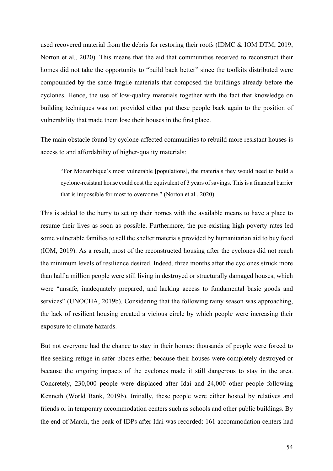used recovered material from the debris for restoring their roofs (IDMC & IOM DTM, 2019; Norton et al., 2020). This means that the aid that communities received to reconstruct their homes did not take the opportunity to "build back better" since the toolkits distributed were compounded by the same fragile materials that composed the buildings already before the cyclones. Hence, the use of low-quality materials together with the fact that knowledge on building techniques was not provided either put these people back again to the position of vulnerability that made them lose their houses in the first place.

The main obstacle found by cyclone-affected communities to rebuild more resistant houses is access to and affordability of higher-quality materials:

"For Mozambique's most vulnerable [populations], the materials they would need to build a cyclone-resistant house could cost the equivalent of 3 years of savings. This is a financial barrier that is impossible for most to overcome." (Norton et al., 2020)

This is added to the hurry to set up their homes with the available means to have a place to resume their lives as soon as possible. Furthermore, the pre-existing high poverty rates led some vulnerable families to sell the shelter materials provided by humanitarian aid to buy food (IOM, 2019). As a result, most of the reconstructed housing after the cyclones did not reach the minimum levels of resilience desired. Indeed, three months after the cyclones struck more than half a million people were still living in destroyed or structurally damaged houses, which were "unsafe, inadequately prepared, and lacking access to fundamental basic goods and services" (UNOCHA, 2019b). Considering that the following rainy season was approaching, the lack of resilient housing created a vicious circle by which people were increasing their exposure to climate hazards.

But not everyone had the chance to stay in their homes: thousands of people were forced to flee seeking refuge in safer places either because their houses were completely destroyed or because the ongoing impacts of the cyclones made it still dangerous to stay in the area. Concretely, 230,000 people were displaced after Idai and 24,000 other people following Kenneth (World Bank, 2019b). Initially, these people were either hosted by relatives and friends or in temporary accommodation centers such as schools and other public buildings. By the end of March, the peak of IDPs after Idai was recorded: 161 accommodation centers had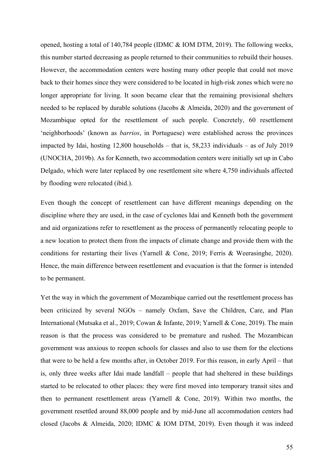opened, hosting a total of 140,784 people (IDMC & IOM DTM, 2019). The following weeks, this number started decreasing as people returned to their communities to rebuild their houses. However, the accommodation centers were hosting many other people that could not move back to their homes since they were considered to be located in high-risk zones which were no longer appropriate for living. It soon became clear that the remaining provisional shelters needed to be replaced by durable solutions (Jacobs & Almeida, 2020) and the government of Mozambique opted for the resettlement of such people. Concretely, 60 resettlement 'neighborhoods' (known as *barrios*, in Portuguese) were established across the provinces impacted by Idai, hosting 12,800 households – that is, 58,233 individuals – as of July 2019 (UNOCHA, 2019b). As for Kenneth, two accommodation centers were initially set up in Cabo Delgado, which were later replaced by one resettlement site where 4,750 individuals affected by flooding were relocated (ibid.).

Even though the concept of resettlement can have different meanings depending on the discipline where they are used, in the case of cyclones Idai and Kenneth both the government and aid organizations refer to resettlement as the process of permanently relocating people to a new location to protect them from the impacts of climate change and provide them with the conditions for restarting their lives (Yarnell & Cone, 2019; Ferris & Weerasinghe, 2020). Hence, the main difference between resettlement and evacuation is that the former is intended to be permanent.

Yet the way in which the government of Mozambique carried out the resettlement process has been criticized by several NGOs – namely Oxfam, Save the Children, Care, and Plan International (Mutsaka et al., 2019; Cowan & Infante, 2019; Yarnell & Cone, 2019). The main reason is that the process was considered to be premature and rushed. The Mozambican government was anxious to reopen schools for classes and also to use them for the elections that were to be held a few months after, in October 2019. For this reason, in early April – that is, only three weeks after Idai made landfall – people that had sheltered in these buildings started to be relocated to other places: they were first moved into temporary transit sites and then to permanent resettlement areas (Yarnell & Cone, 2019). Within two months, the government resettled around 88,000 people and by mid-June all accommodation centers had closed (Jacobs & Almeida, 2020; IDMC & IOM DTM, 2019). Even though it was indeed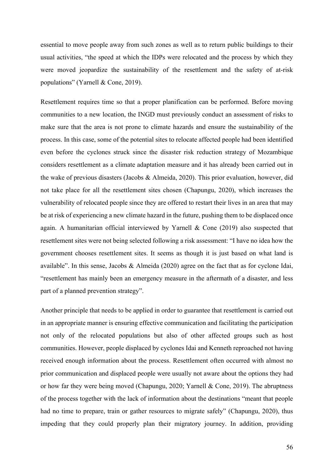essential to move people away from such zones as well as to return public buildings to their usual activities, "the speed at which the IDPs were relocated and the process by which they were moved jeopardize the sustainability of the resettlement and the safety of at-risk populations" (Yarnell & Cone, 2019).

Resettlement requires time so that a proper planification can be performed. Before moving communities to a new location, the INGD must previously conduct an assessment of risks to make sure that the area is not prone to climate hazards and ensure the sustainability of the process. In this case, some of the potential sites to relocate affected people had been identified even before the cyclones struck since the disaster risk reduction strategy of Mozambique considers resettlement as a climate adaptation measure and it has already been carried out in the wake of previous disasters (Jacobs & Almeida, 2020). This prior evaluation, however, did not take place for all the resettlement sites chosen (Chapungu, 2020), which increases the vulnerability of relocated people since they are offered to restart their lives in an area that may be at risk of experiencing a new climate hazard in the future, pushing them to be displaced once again. A humanitarian official interviewed by Yarnell & Cone (2019) also suspected that resettlement sites were not being selected following a risk assessment: "I have no idea how the government chooses resettlement sites. It seems as though it is just based on what land is available". In this sense, Jacobs & Almeida (2020) agree on the fact that as for cyclone Idai, "resettlement has mainly been an emergency measure in the aftermath of a disaster, and less part of a planned prevention strategy".

Another principle that needs to be applied in order to guarantee that resettlement is carried out in an appropriate manner is ensuring effective communication and facilitating the participation not only of the relocated populations but also of other affected groups such as host communities. However, people displaced by cyclones Idai and Kenneth reproached not having received enough information about the process. Resettlement often occurred with almost no prior communication and displaced people were usually not aware about the options they had or how far they were being moved (Chapungu, 2020; Yarnell & Cone, 2019). The abruptness of the process together with the lack of information about the destinations "meant that people had no time to prepare, train or gather resources to migrate safely" (Chapungu, 2020), thus impeding that they could properly plan their migratory journey. In addition, providing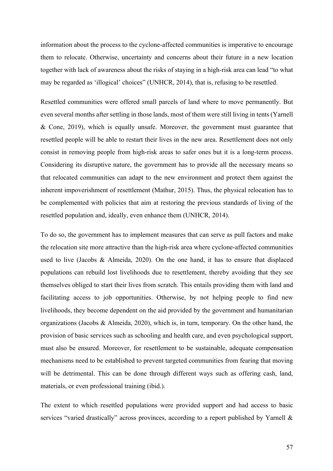information about the process to the cyclone-affected communities is imperative to encourage them to relocate. Otherwise, uncertainty and concerns about their future in a new location together with lack of awareness about the risks of staying in a high-risk area can lead "to what may be regarded as 'illogical' choices" (UNHCR, 2014), that is, refusing to be resettled.

Resettled communities were offered small parcels of land where to move permanently. But even several months after settling in those lands, most of them were still living in tents (Yarnell & Cone, 2019), which is equally unsafe. Moreover, the government must guarantee that resettled people will be able to restart their lives in the new area. Resettlement does not only consist in removing people from high-risk areas to safer ones but it is a long-term process. Considering its disruptive nature, the government has to provide all the necessary means so that relocated communities can adapt to the new environment and protect them against the inherent impoverishment of resettlement (Mathur, 2015). Thus, the physical relocation has to be complemented with policies that aim at restoring the previous standards of living of the resettled population and, ideally, even enhance them (UNHCR, 2014).

To do so, the government has to implement measures that can serve as pull factors and make the relocation site more attractive than the high-risk area where cyclone-affected communities used to live (Jacobs & Almeida, 2020). On the one hand, it has to ensure that displaced populations can rebuild lost livelihoods due to resettlement, thereby avoiding that they see themselves obliged to start their lives from scratch. This entails providing them with land and facilitating access to job opportunities. Otherwise, by not helping people to find new livelihoods, they become dependent on the aid provided by the government and humanitarian organizations (Jacobs & Almeida, 2020), which is, in turn, temporary. On the other hand, the provision of basic services such as schooling and health care, and even psychological support, must also be ensured. Moreover, for resettlement to be sustainable, adequate compensation mechanisms need to be established to prevent targeted communities from fearing that moving will be detrimental. This can be done through different ways such as offering cash, land, materials, or even professional training (ibid.).

The extent to which resettled populations were provided support and had access to basic services "varied drastically" across provinces, according to a report published by Yarnell &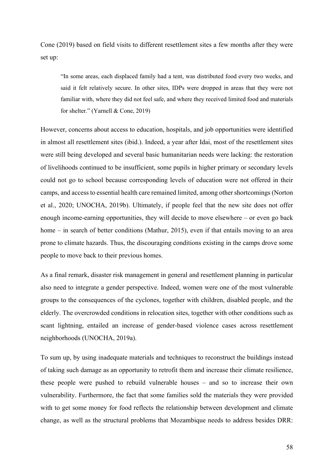Cone (2019) based on field visits to different resettlement sites a few months after they were set up:

"In some areas, each displaced family had a tent, was distributed food every two weeks, and said it felt relatively secure. In other sites, IDPs were dropped in areas that they were not familiar with, where they did not feel safe, and where they received limited food and materials for shelter." (Yarnell & Cone, 2019)

However, concerns about access to education, hospitals, and job opportunities were identified in almost all resettlement sites (ibid.). Indeed, a year after Idai, most of the resettlement sites were still being developed and several basic humanitarian needs were lacking: the restoration of livelihoods continued to be insufficient, some pupils in higher primary or secondary levels could not go to school because corresponding levels of education were not offered in their camps, and access to essential health care remained limited, among other shortcomings (Norton et al., 2020; UNOCHA, 2019b). Ultimately, if people feel that the new site does not offer enough income-earning opportunities, they will decide to move elsewhere – or even go back home – in search of better conditions (Mathur, 2015), even if that entails moving to an area prone to climate hazards. Thus, the discouraging conditions existing in the camps drove some people to move back to their previous homes.

As a final remark, disaster risk management in general and resettlement planning in particular also need to integrate a gender perspective. Indeed, women were one of the most vulnerable groups to the consequences of the cyclones, together with children, disabled people, and the elderly. The overcrowded conditions in relocation sites, together with other conditions such as scant lightning, entailed an increase of gender-based violence cases across resettlement neighborhoods (UNOCHA, 2019a).

To sum up, by using inadequate materials and techniques to reconstruct the buildings instead of taking such damage as an opportunity to retrofit them and increase their climate resilience, these people were pushed to rebuild vulnerable houses – and so to increase their own vulnerability. Furthermore, the fact that some families sold the materials they were provided with to get some money for food reflects the relationship between development and climate change, as well as the structural problems that Mozambique needs to address besides DRR: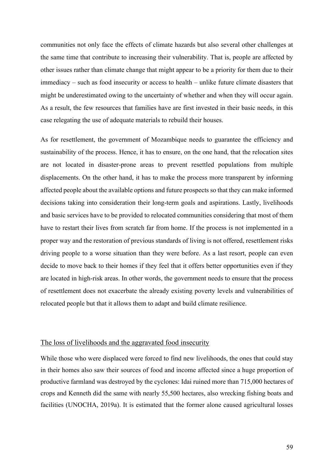communities not only face the effects of climate hazards but also several other challenges at the same time that contribute to increasing their vulnerability. That is, people are affected by other issues rather than climate change that might appear to be a priority for them due to their immediacy – such as food insecurity or access to health – unlike future climate disasters that might be underestimated owing to the uncertainty of whether and when they will occur again. As a result, the few resources that families have are first invested in their basic needs, in this case relegating the use of adequate materials to rebuild their houses.

As for resettlement, the government of Mozambique needs to guarantee the efficiency and sustainability of the process. Hence, it has to ensure, on the one hand, that the relocation sites are not located in disaster-prone areas to prevent resettled populations from multiple displacements. On the other hand, it has to make the process more transparent by informing affected people about the available options and future prospects so that they can make informed decisions taking into consideration their long-term goals and aspirations. Lastly, livelihoods and basic services have to be provided to relocated communities considering that most of them have to restart their lives from scratch far from home. If the process is not implemented in a proper way and the restoration of previous standards of living is not offered, resettlement risks driving people to a worse situation than they were before. As a last resort, people can even decide to move back to their homes if they feel that it offers better opportunities even if they are located in high-risk areas. In other words, the government needs to ensure that the process of resettlement does not exacerbate the already existing poverty levels and vulnerabilities of relocated people but that it allows them to adapt and build climate resilience.

## The loss of livelihoods and the aggravated food insecurity

While those who were displaced were forced to find new livelihoods, the ones that could stay in their homes also saw their sources of food and income affected since a huge proportion of productive farmland was destroyed by the cyclones: Idai ruined more than 715,000 hectares of crops and Kenneth did the same with nearly 55,500 hectares, also wrecking fishing boats and facilities (UNOCHA, 2019a). It is estimated that the former alone caused agricultural losses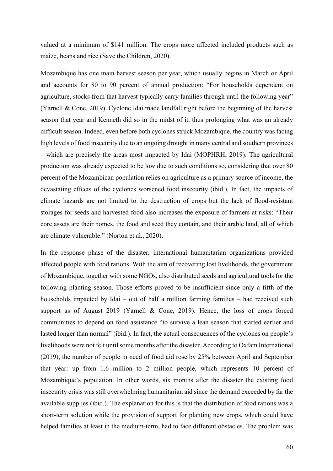valued at a minimum of \$141 million. The crops more affected included products such as maize, beans and rice (Save the Children, 2020).

Mozambique has one main harvest season per year, which usually begins in March or April and accounts for 80 to 90 percent of annual production: "For households dependent on agriculture, stocks from that harvest typically carry families through until the following year" (Yarnell & Cone, 2019). Cyclone Idai made landfall right before the beginning of the harvest season that year and Kenneth did so in the midst of it, thus prolonging what was an already difficult season. Indeed, even before both cyclones struck Mozambique, the country was facing high levels of food insecurity due to an ongoing drought in many central and southern provinces – which are precisely the areas most impacted by Idai (MOPHRH, 2019). The agricultural production was already expected to be low due to such conditions so, considering that over 80 percent of the Mozambican population relies on agriculture as a primary source of income, the devastating effects of the cyclones worsened food insecurity (ibid.). In fact, the impacts of climate hazards are not limited to the destruction of crops but the lack of flood-resistant storages for seeds and harvested food also increases the exposure of farmers at risks: "Their core assets are their homes, the food and seed they contain, and their arable land, all of which are climate vulnerable." (Norton et al., 2020).

In the response phase of the disaster, international humanitarian organizations provided affected people with food rations. With the aim of recovering lost livelihoods, the government of Mozambique, together with some NGOs, also distributed seeds and agricultural tools for the following planting season. Those efforts proved to be insufficient since only a fifth of the households impacted by Idai – out of half a million farming families – had received such support as of August 2019 (Yarnell & Cone, 2019). Hence, the loss of crops forced communities to depend on food assistance "to survive a lean season that started earlier and lasted longer than normal" (ibid.). In fact, the actual consequences of the cyclones on people's livelihoods were not felt until some months after the disaster. According to Oxfam International (2019), the number of people in need of food aid rose by 25% between April and September that year: up from 1.6 million to 2 million people, which represents 10 percent of Mozambique's population. In other words, six months after the disaster the existing food insecurity crisis was still overwhelming humanitarian aid since the demand exceeded by far the available supplies (ibid.). The explanation for this is that the distribution of food rations was a short-term solution while the provision of support for planting new crops, which could have helped families at least in the medium-term, had to face different obstacles. The problem was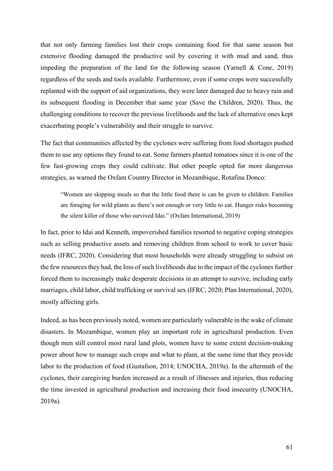that not only farming families lost their crops containing food for that same season but extensive flooding damaged the productive soil by covering it with mud and sand, thus impeding the preparation of the land for the following season (Yarnell & Cone, 2019) regardless of the seeds and tools available. Furthermore, even if some crops were successfully replanted with the support of aid organizations, they were later damaged due to heavy rain and its subsequent flooding in December that same year (Save the Children, 2020). Thus, the challenging conditions to recover the previous livelihoods and the lack of alternative ones kept exacerbating people's vulnerability and their struggle to survive.

The fact that communities affected by the cyclones were suffering from food shortages pushed them to use any options they found to eat. Some farmers planted tomatoes since it is one of the few fast-growing crops they could cultivate. But other people opted for more dangerous strategies, as warned the Oxfam Country Director in Mozambique, Rotafina Donco:

"Women are skipping meals so that the little food there is can be given to children. Families are foraging for wild plants as there's not enough or very little to eat. Hunger risks becoming the silent killer of those who survived Idai." (Oxfam International, 2019)

In fact, prior to Idai and Kenneth, impoverished families resorted to negative coping strategies such as selling productive assets and removing children from school to work to cover basic needs (IFRC, 2020). Considering that most households were already struggling to subsist on the few resources they had, the loss of such livelihoods due to the impact of the cyclones further forced them to increasingly make desperate decisions in an attempt to survive, including early marriages, child labor, child trafficking or survival sex (IFRC, 2020; Plan International, 2020), mostly affecting girls.

Indeed, as has been previously noted, women are particularly vulnerable in the wake of climate disasters. In Mozambique, women play an important role in agricultural production. Even though men still control most rural land plots, women have to some extent decision-making power about how to manage such crops and what to plant, at the same time that they provide labor to the production of food (Gustafson, 2014; UNOCHA, 2019a). In the aftermath of the cyclones, their caregiving burden increased as a result of illnesses and injuries, thus reducing the time invested in agricultural production and increasing their food insecurity (UNOCHA, 2019a).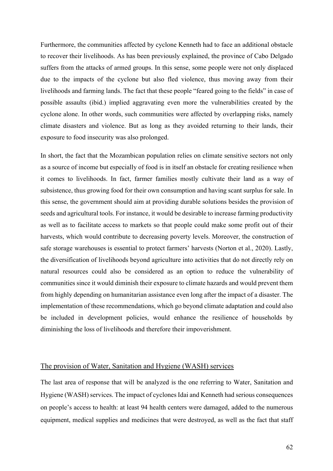Furthermore, the communities affected by cyclone Kenneth had to face an additional obstacle to recover their livelihoods. As has been previously explained, the province of Cabo Delgado suffers from the attacks of armed groups. In this sense, some people were not only displaced due to the impacts of the cyclone but also fled violence, thus moving away from their livelihoods and farming lands. The fact that these people "feared going to the fields" in case of possible assaults (ibid.) implied aggravating even more the vulnerabilities created by the cyclone alone. In other words, such communities were affected by overlapping risks, namely climate disasters and violence. But as long as they avoided returning to their lands, their exposure to food insecurity was also prolonged.

In short, the fact that the Mozambican population relies on climate sensitive sectors not only as a source of income but especially of food is in itself an obstacle for creating resilience when it comes to livelihoods. In fact, farmer families mostly cultivate their land as a way of subsistence, thus growing food for their own consumption and having scant surplus for sale. In this sense, the government should aim at providing durable solutions besides the provision of seeds and agricultural tools. For instance, it would be desirable to increase farming productivity as well as to facilitate access to markets so that people could make some profit out of their harvests, which would contribute to decreasing poverty levels. Moreover, the construction of safe storage warehouses is essential to protect farmers' harvests (Norton et al., 2020). Lastly, the diversification of livelihoods beyond agriculture into activities that do not directly rely on natural resources could also be considered as an option to reduce the vulnerability of communities since it would diminish their exposure to climate hazards and would prevent them from highly depending on humanitarian assistance even long after the impact of a disaster. The implementation of these recommendations, which go beyond climate adaptation and could also be included in development policies, would enhance the resilience of households by diminishing the loss of livelihoods and therefore their impoverishment.

## The provision of Water, Sanitation and Hygiene (WASH) services

The last area of response that will be analyzed is the one referring to Water, Sanitation and Hygiene (WASH) services. The impact of cyclones Idai and Kenneth had serious consequences on people's access to health: at least 94 health centers were damaged, added to the numerous equipment, medical supplies and medicines that were destroyed, as well as the fact that staff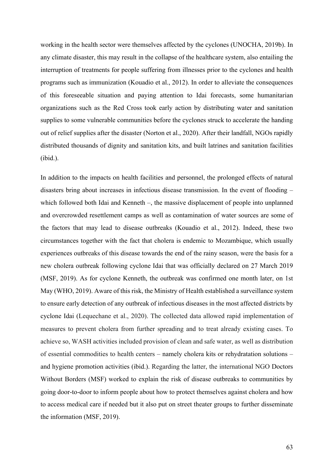working in the health sector were themselves affected by the cyclones (UNOCHA, 2019b). In any climate disaster, this may result in the collapse of the healthcare system, also entailing the interruption of treatments for people suffering from illnesses prior to the cyclones and health programs such as immunization (Kouadio et al., 2012). In order to alleviate the consequences of this foreseeable situation and paying attention to Idai forecasts, some humanitarian organizations such as the Red Cross took early action by distributing water and sanitation supplies to some vulnerable communities before the cyclones struck to accelerate the handing out of relief supplies after the disaster (Norton et al., 2020). After their landfall, NGOs rapidly distributed thousands of dignity and sanitation kits, and built latrines and sanitation facilities (ibid.).

In addition to the impacts on health facilities and personnel, the prolonged effects of natural disasters bring about increases in infectious disease transmission. In the event of flooding – which followed both Idai and Kenneth –, the massive displacement of people into unplanned and overcrowded resettlement camps as well as contamination of water sources are some of the factors that may lead to disease outbreaks (Kouadio et al., 2012). Indeed, these two circumstances together with the fact that cholera is endemic to Mozambique, which usually experiences outbreaks of this disease towards the end of the rainy season, were the basis for a new cholera outbreak following cyclone Idai that was officially declared on 27 March 2019 (MSF, 2019). As for cyclone Kenneth, the outbreak was confirmed one month later, on 1st May (WHO, 2019). Aware of this risk, the Ministry of Health established a surveillance system to ensure early detection of any outbreak of infectious diseases in the most affected districts by cyclone Idai (Lequechane et al., 2020). The collected data allowed rapid implementation of measures to prevent cholera from further spreading and to treat already existing cases. To achieve so, WASH activities included provision of clean and safe water, as well as distribution of essential commodities to health centers – namely cholera kits or rehydratation solutions – and hygiene promotion activities (ibid.). Regarding the latter, the international NGO Doctors Without Borders (MSF) worked to explain the risk of disease outbreaks to communities by going door-to-door to inform people about how to protect themselves against cholera and how to access medical care if needed but it also put on street theater groups to further disseminate the information (MSF, 2019).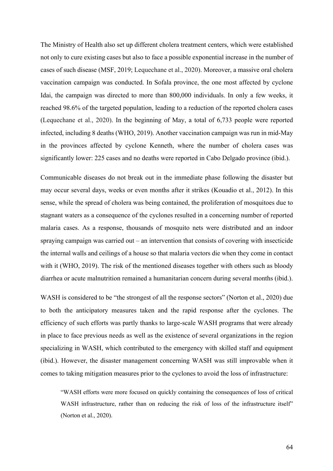The Ministry of Health also set up different cholera treatment centers, which were established not only to cure existing cases but also to face a possible exponential increase in the number of cases of such disease (MSF, 2019; Lequechane et al., 2020). Moreover, a massive oral cholera vaccination campaign was conducted. In Sofala province, the one most affected by cyclone Idai, the campaign was directed to more than 800,000 individuals. In only a few weeks, it reached 98.6% of the targeted population, leading to a reduction of the reported cholera cases (Lequechane et al., 2020). In the beginning of May, a total of 6,733 people were reported infected, including 8 deaths (WHO, 2019). Another vaccination campaign was run in mid-May in the provinces affected by cyclone Kenneth, where the number of cholera cases was significantly lower: 225 cases and no deaths were reported in Cabo Delgado province (ibid.).

Communicable diseases do not break out in the immediate phase following the disaster but may occur several days, weeks or even months after it strikes (Kouadio et al., 2012). In this sense, while the spread of cholera was being contained, the proliferation of mosquitoes due to stagnant waters as a consequence of the cyclones resulted in a concerning number of reported malaria cases. As a response, thousands of mosquito nets were distributed and an indoor spraying campaign was carried out – an intervention that consists of covering with insecticide the internal walls and ceilings of a house so that malaria vectors die when they come in contact with it (WHO, 2019). The risk of the mentioned diseases together with others such as bloody diarrhea or acute malnutrition remained a humanitarian concern during several months (ibid.).

WASH is considered to be "the strongest of all the response sectors" (Norton et al., 2020) due to both the anticipatory measures taken and the rapid response after the cyclones. The efficiency of such efforts was partly thanks to large-scale WASH programs that were already in place to face previous needs as well as the existence of several organizations in the region specializing in WASH, which contributed to the emergency with skilled staff and equipment (ibid.). However, the disaster management concerning WASH was still improvable when it comes to taking mitigation measures prior to the cyclones to avoid the loss of infrastructure:

"WASH efforts were more focused on quickly containing the consequences of loss of critical WASH infrastructure, rather than on reducing the risk of loss of the infrastructure itself" (Norton et al., 2020).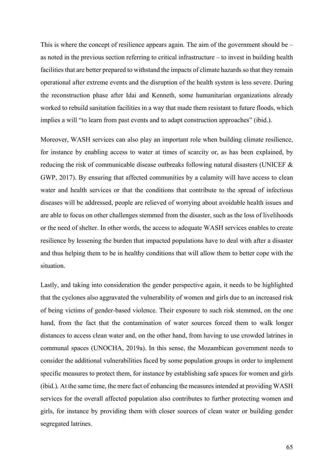This is where the concept of resilience appears again. The aim of the government should be – as noted in the previous section referring to critical infrastructure – to invest in building health facilities that are better prepared to withstand the impacts of climate hazards so that they remain operational after extreme events and the disruption of the health system is less severe. During the reconstruction phase after Idai and Kenneth, some humanitarian organizations already worked to rebuild sanitation facilities in a way that made them resistant to future floods, which implies a will "to learn from past events and to adapt construction approaches" (ibid.).

Moreover, WASH services can also play an important role when building climate resilience, for instance by enabling access to water at times of scarcity or, as has been explained, by reducing the risk of communicable disease outbreaks following natural disasters (UNICEF & GWP, 2017). By ensuring that affected communities by a calamity will have access to clean water and health services or that the conditions that contribute to the spread of infectious diseases will be addressed, people are relieved of worrying about avoidable health issues and are able to focus on other challenges stemmed from the disaster, such as the loss of livelihoods or the need of shelter. In other words, the access to adequate WASH services enables to create resilience by lessening the burden that impacted populations have to deal with after a disaster and thus helping them to be in healthy conditions that will allow them to better cope with the situation.

Lastly, and taking into consideration the gender perspective again, it needs to be highlighted that the cyclones also aggravated the vulnerability of women and girls due to an increased risk of being victims of gender-based violence. Their exposure to such risk stemmed, on the one hand, from the fact that the contamination of water sources forced them to walk longer distances to access clean water and, on the other hand, from having to use crowded latrines in communal spaces (UNOCHA, 2019a). In this sense, the Mozambican government needs to consider the additional vulnerabilities faced by some population groups in order to implement specific measures to protect them, for instance by establishing safe spaces for women and girls (ibid.). At the same time, the mere fact of enhancing the measures intended at providing WASH services for the overall affected population also contributes to further protecting women and girls, for instance by providing them with closer sources of clean water or building gender segregated latrines.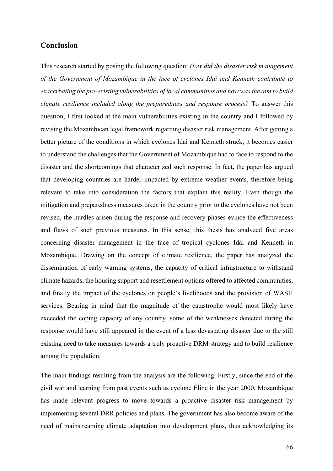## **Conclusion**

This research started by posing the following question: *How did the disaster risk management of the Government of Mozambique in the face of cyclones Idai and Kenneth contribute to exacerbating the pre-existing vulnerabilities of local communities and how was the aim to build climate resilience included along the preparedness and response process?* To answer this question, I first looked at the main vulnerabilities existing in the country and I followed by revising the Mozambican legal framework regarding disaster risk management. After getting a better picture of the conditions in which cyclones Idai and Kenneth struck, it becomes easier to understand the challenges that the Government of Mozambique had to face to respond to the disaster and the shortcomings that characterized such response. In fact, the paper has argued that developing countries are harder impacted by extreme weather events, therefore being relevant to take into consideration the factors that explain this reality. Even though the mitigation and preparedness measures taken in the country prior to the cyclones have not been revised, the hurdles arisen during the response and recovery phases evince the effectiveness and flaws of such previous measures. In this sense, this thesis has analyzed five areas concerning disaster management in the face of tropical cyclones Idai and Kenneth in Mozambique. Drawing on the concept of climate resilience, the paper has analyzed the dissemination of early warning systems, the capacity of critical infrastructure to withstand climate hazards, the housing support and resettlement options offered to affected communities, and finally the impact of the cyclones on people's livelihoods and the provision of WASH services. Bearing in mind that the magnitude of the catastrophe would most likely have exceeded the coping capacity of any country, some of the weaknesses detected during the response would have still appeared in the event of a less devastating disaster due to the still existing need to take measures towards a truly proactive DRM strategy and to build resilience among the population.

The main findings resulting from the analysis are the following. Firstly, since the end of the civil war and learning from past events such as cyclone Eline in the year 2000, Mozambique has made relevant progress to move towards a proactive disaster risk management by implementing several DRR policies and plans. The government has also become aware of the need of mainstreaming climate adaptation into development plans, thus acknowledging its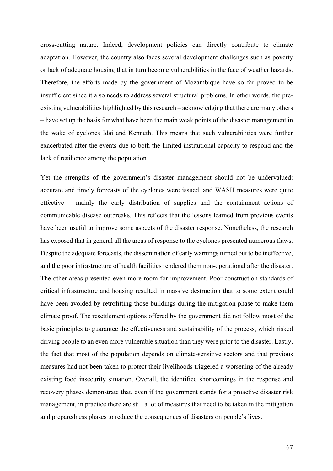cross-cutting nature. Indeed, development policies can directly contribute to climate adaptation. However, the country also faces several development challenges such as poverty or lack of adequate housing that in turn become vulnerabilities in the face of weather hazards. Therefore, the efforts made by the government of Mozambique have so far proved to be insufficient since it also needs to address several structural problems. In other words, the preexisting vulnerabilities highlighted by this research – acknowledging that there are many others – have set up the basis for what have been the main weak points of the disaster management in the wake of cyclones Idai and Kenneth. This means that such vulnerabilities were further exacerbated after the events due to both the limited institutional capacity to respond and the lack of resilience among the population.

Yet the strengths of the government's disaster management should not be undervalued: accurate and timely forecasts of the cyclones were issued, and WASH measures were quite effective – mainly the early distribution of supplies and the containment actions of communicable disease outbreaks. This reflects that the lessons learned from previous events have been useful to improve some aspects of the disaster response. Nonetheless, the research has exposed that in general all the areas of response to the cyclones presented numerous flaws. Despite the adequate forecasts, the dissemination of early warnings turned out to be ineffective, and the poor infrastructure of health facilities rendered them non-operational after the disaster. The other areas presented even more room for improvement. Poor construction standards of critical infrastructure and housing resulted in massive destruction that to some extent could have been avoided by retrofitting those buildings during the mitigation phase to make them climate proof. The resettlement options offered by the government did not follow most of the basic principles to guarantee the effectiveness and sustainability of the process, which risked driving people to an even more vulnerable situation than they were prior to the disaster. Lastly, the fact that most of the population depends on climate-sensitive sectors and that previous measures had not been taken to protect their livelihoods triggered a worsening of the already existing food insecurity situation. Overall, the identified shortcomings in the response and recovery phases demonstrate that, even if the government stands for a proactive disaster risk management, in practice there are still a lot of measures that need to be taken in the mitigation and preparedness phases to reduce the consequences of disasters on people's lives.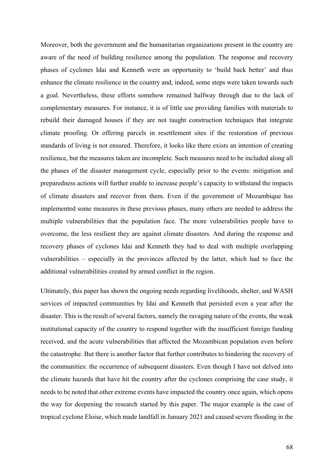Moreover, both the government and the humanitarian organizations present in the country are aware of the need of building resilience among the population. The response and recovery phases of cyclones Idai and Kenneth were an opportunity to 'build back better' and thus enhance the climate resilience in the country and, indeed, some steps were taken towards such a goal. Nevertheless, these efforts somehow remained halfway through due to the lack of complementary measures. For instance, it is of little use providing families with materials to rebuild their damaged houses if they are not taught construction techniques that integrate climate proofing. Or offering parcels in resettlement sites if the restoration of previous standards of living is not ensured. Therefore, it looks like there exists an intention of creating resilience, but the measures taken are incomplete. Such measures need to be included along all the phases of the disaster management cycle, especially prior to the events: mitigation and preparedness actions will further enable to increase people's capacity to withstand the impacts of climate disasters and recover from them. Even if the government of Mozambique has implemented some measures in these previous phases, many others are needed to address the multiple vulnerabilities that the population face. The more vulnerabilities people have to overcome, the less resilient they are against climate disasters. And during the response and recovery phases of cyclones Idai and Kenneth they had to deal with multiple overlapping vulnerabilities – especially in the provinces affected by the latter, which had to face the additional vulnerabilities created by armed conflict in the region.

Ultimately, this paper has shown the ongoing needs regarding livelihoods, shelter, and WASH services of impacted communities by Idai and Kenneth that persisted even a year after the disaster. This is the result of several factors, namely the ravaging nature of the events, the weak institutional capacity of the country to respond together with the insufficient foreign funding received, and the acute vulnerabilities that affected the Mozambican population even before the catastrophe. But there is another factor that further contributes to hindering the recovery of the communities: the occurrence of subsequent disasters. Even though I have not delved into the climate hazards that have hit the country after the cyclones comprising the case study, it needs to be noted that other extreme events have impacted the country once again, which opens the way for deepening the research started by this paper. The major example is the case of tropical cyclone Eloise, which made landfall in January 2021 and caused severe flooding in the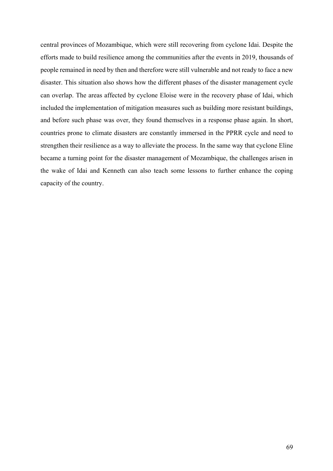central provinces of Mozambique, which were still recovering from cyclone Idai. Despite the efforts made to build resilience among the communities after the events in 2019, thousands of people remained in need by then and therefore were still vulnerable and not ready to face a new disaster. This situation also shows how the different phases of the disaster management cycle can overlap. The areas affected by cyclone Eloise were in the recovery phase of Idai, which included the implementation of mitigation measures such as building more resistant buildings, and before such phase was over, they found themselves in a response phase again. In short, countries prone to climate disasters are constantly immersed in the PPRR cycle and need to strengthen their resilience as a way to alleviate the process. In the same way that cyclone Eline became a turning point for the disaster management of Mozambique, the challenges arisen in the wake of Idai and Kenneth can also teach some lessons to further enhance the coping capacity of the country.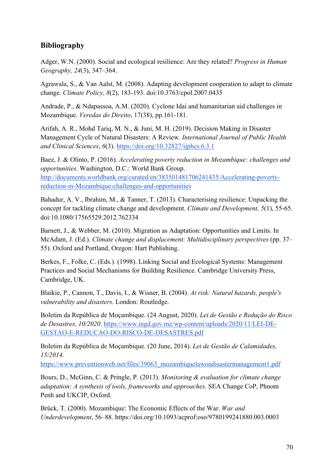# **Bibliography**

Adger, W.N. (2000). Social and ecological resilience: Are they related? *Progress in Human Geography, 24*(3), 347–364.

Agrawala, S., & Van Aalst, M. (2008). Adapting development cooperation to adapt to climate change. *Climate Policy, 8*(2), 183-193. doi:10.3763/cpol.2007.0435

Andrade, P., & Ndapassoa, A.M. (2020). Cyclone Idai and humanitarian aid challenges in Mozambique. *Veredas do Direito*, 17(38), pp.161-181.

Arifah, A. R., Mohd Tariq, M. N., & Juni, M. H. (2019). Decision Making in Disaster Management Cycle of Natural Disasters: A Review. *International Journal of Public Health and Clinical Sciences*, *6*(3). https://doi.org/10.32827/ijphcs.6.3.1

Baez, J. & Olinto, P. (2016). *Accelerating poverty reduction in Mozambique: challenges and opportunities*. Washington, D.C.: World Bank Group. http://documents.worldbank.org/curated/en/383501481706241435/Accelerating-povertyreduction-in-Mozambique-challenges-and-opportunities

Bahadur, A. V., Ibrahim, M., & Tanner, T. (2013). Characterising resilience: Unpacking the concept for tackling climate change and development. *Climate and Development, 5*(1), 55-65. doi:10.1080/17565529.2012.762334

Barnett, J., & Webber, M. (2010). Migration as Adaptation: Opportunities and Limits. In McAdam, J. (Ed.). *Climate change and displacement: Multidisciplinary perspectives* (pp. 37– 55). Oxford and Portland, Oregon: Hart Publishing.

Berkes, F., Folke, C. (Eds.). (1998). Linking Social and Ecological Systems: Management Practices and Social Mechanisms for Building Resilience. Cambridge University Press, Cambridge, UK.

Blaikie, P., Cannon, T., Davis, I., & Wisner, B. (2004). *At risk: Natural hazards, people's vulnerability and disasters*. London: Routledge.

Boletim da República de Moçambique. (24 August, 2020). *Lei de Gestão e Redução do Risco de Desastres, 10/2020*. https://www.ingd.gov.mz/wp-content/uploads/2020/11/LEI-DE-GESTAO-E-REDUCAO-DO-RISCO-DE-DESASTRES.pdf

Boletim da República de Moçambique. (20 June, 2014). *Lei de Gestão de Calamidades, 15/2014.* 

https://www.preventionweb.net/files/39063\_mozambiquelawondisastermanagement1.pdf

Bours, D., McGinn, C. & Pringle, P. (2013). *Monitoring & evaluation for climate change adaptation: A synthesis of tools, frameworks and approaches*. SEA Change CoP, Phnom Penh and UKCIP, Oxford.

Brück, T. (2000). Mozambique: The Economic Effects of the War. *War and Underdevelopment*, 56–88. https://doi.org/10.1093/acprof:oso/9780199241880.003.0003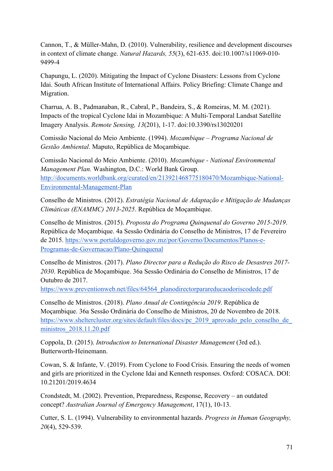Cannon, T., & Müller-Mahn, D. (2010). Vulnerability, resilience and development discourses in context of climate change. *Natural Hazards, 55*(3), 621-635. doi:10.1007/s11069-010- 9499-4

Chapungu, L. (2020). Mitigating the Impact of Cyclone Disasters: Lessons from Cyclone Idai. South African Institute of International Affairs. Policy Briefing: Climate Change and Migration.

Charrua, A. B., Padmanaban, R., Cabral, P., Bandeira, S., & Romeiras, M. M. (2021). Impacts of the tropical Cyclone Idai in Mozambique: A Multi-Temporal Landsat Satellite Imagery Analysis. *Remote Sensing, 13*(201), 1-17. doi:10.3390/rs13020201

Comissão Nacional do Meio Ambiente. (1994). *Mozambique – Programa Nacional de Gestão Ambiental*. Maputo, República de Moçambique.

Comissão Nacional do Meio Ambiente. (2010). *Mozambique - National Environmental Management Plan.* Washington, D.C.: World Bank Group. http://documents.worldbank.org/curated/en/213921468775180470/Mozambique-National-Environmental-Management-Plan

Conselho de Ministros. (2012). *Estratégia Nacional de Adaptação e Mitigação de Mudanças Climáticas (ENAMMC) 2013-2025*. República de Moçambique.

Conselho de Ministros. (2015). *Proposta do Programa Quinquenal do Governo 2015-2019*. República de Moçambique. 4a Sessão Ordinária do Conselho de Ministros, 17 de Fevereiro de 2015. https://www.portaldogoverno.gov.mz/por/Governo/Documentos/Planos-e-Programas-de-Governacao/Plano-Quinquenal

Conselho de Ministros. (2017). *Plano Director para a Redução do Risco de Desastres 2017- 2030*. República de Moçambique. 36a Sessão Ordinária do Conselho de Ministros, 17 de Outubro de 2017.

https://www.preventionweb.net/files/64564\_planodirectorparareducaodoriscodede.pdf

Conselho de Ministros. (2018). *Plano Anual de Contingência 2019*. República de Moçambique. 36a Sessão Ordinária do Conselho de Ministros, 20 de Novembro de 2018. https://www.sheltercluster.org/sites/default/files/docs/pc\_2019\_aprovado\_pelo\_conselho\_de\_ ministros\_2018.11.20.pdf

Coppola, D. (2015). *Introduction to International Disaster Management* (3rd ed.). Butterworth-Heinemann.

Cowan, S. & Infante, V. (2019). From Cyclone to Food Crisis. Ensuring the needs of women and girls are prioritized in the Cyclone Idai and Kenneth responses. Oxford: COSACA. DOI: 10.21201/2019.4634

Crondstedt, M. (2002). Prevention, Preparedness, Response, Recovery – an outdated concept? *Australian Journal of Emergency Management*, 17(1), 10-13.

Cutter, S. L. (1994). Vulnerability to environmental hazards. *Progress in Human Geography, 20*(4), 529-539.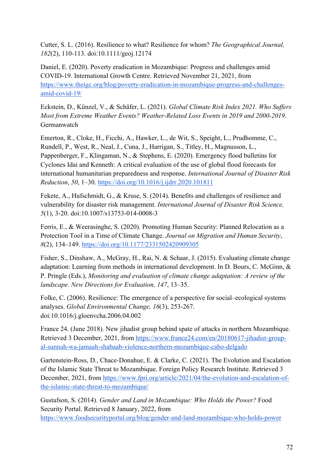Cutter, S. L. (2016). Resilience to what? Resilience for whom? *The Geographical Journal, 182*(2), 110-113. doi:10.1111/geoj.12174

Daniel, E. (2020). Poverty eradication in Mozambique: Progress and challenges amid COVID-19. International Growth Centre. Retrieved November 21, 2021, from https://www.theigc.org/blog/poverty-eradication-in-mozambique-progress-and-challengesamid-covid-19/

Eckstein, D., Künzel, V., & Schäfer, L. (2021). *Global Climate Risk Index 2021. Who Suffers Most from Extreme Weather Events? Weather-Related Loss Events in 2019 and 2000-2019*. Germanwatch

Emerton, R., Cloke, H., Ficchi, A., Hawker, L., de Wit, S., Speight, L., Prudhomme, C., Rundell, P., West, R., Neal, J., Cuna, J., Harrigan, S., Titley, H., Magnusson, L., Pappenberger, F., Klingaman, N., & Stephens, E. (2020). Emergency flood bulletins for Cyclones Idai and Kenneth: A critical evaluation of the use of global flood forecasts for international humanitarian preparedness and response. *International Journal of Disaster Risk Reduction*, *50*, 1–30. https://doi.org/10.1016/j.ijdrr.2020.101811

Fekete, A., Hufschmidt, G., & Kruse, S. (2014). Benefits and challenges of resilience and vulnerability for disaster risk management. *International Journal of Disaster Risk Science, 5*(1), 3-20. doi:10.1007/s13753-014-0008-3

Ferris, E., & Weerasinghe, S. (2020). Promoting Human Security: Planned Relocation as a Protection Tool in a Time of Climate Change. *Journal on Migration and Human Security*, *8*(2), 134–149. https://doi.org/10.1177/2331502420909305

Fisher, S., Dinshaw, A., McGray, H., Rai, N. & Schaar, J. (2015). Evaluating climate change adaptation: Learning from methods in international development. In D. Bours, C. McGinn, & P. Pringle (Eds.), *Monitoring and evaluation of climate change adaptation: A review of the landscape. New Directions for Evaluation, 147*, 13–35.

Folke, C. (2006). Resilience: The emergence of a perspective for social–ecological systems analyses. *Global Environmental Change, 16*(3), 253-267. doi:10.1016/j.gloenvcha.2006.04.002

France 24. (June 2018). New jihadist group behind spate of attacks in northern Mozambique. Retrieved 3 December, 2021, from https://www.france24.com/en/20180617-jihadist-groupal-sunnah-wa-jamaah-shabaab-violence-northern-mozambique-cabo-delgado

Gartenstein-Ross, D., Chace-Donahue, E. & Clarke, C. (2021). The Evolution and Escalation of the Islamic State Threat to Mozambique. Foreign Policy Research Institute. Retrieved 3 December, 2021, from https://www.fpri.org/article/2021/04/the-evolution-and-escalation-ofthe-islamic-state-threat-to-mozambique/

Gustafson, S. (2014). *Gender and Land in Mozambique: Who Holds the Power?* Food Security Portal. Retrieved 8 January, 2022, from https://www.foodsecurityportal.org/blog/gender-and-land-mozambique-who-holds-power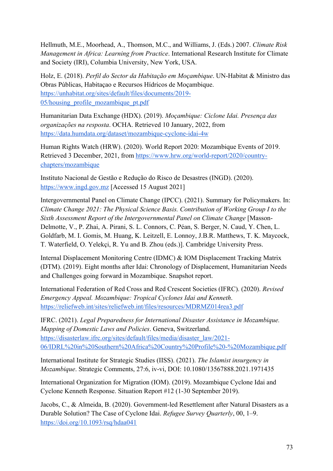Hellmuth, M.E., Moorhead, A., Thomson, M.C., and Williams, J. (Eds.) 2007. *Climate Risk Management in Africa: Learning from Practice*. International Research Institute for Climate and Society (IRI), Columbia University, New York, USA.

Holz, E. (2018). *Perfil do Sector da Habitação em Moçambique*. UN-Habitat & Ministro das Obras Públicas, Habitaçao e Recursos Hídricos de Moçambique. https://unhabitat.org/sites/default/files/documents/2019- 05/housing\_profile\_mozambique\_pt.pdf

Humanitarian Data Exchange (HDX). (2019). *Moçambique: Ciclone Idai. Presença das organizações na resposta*. OCHA. Retrieved 10 January, 2022, from https://data.humdata.org/dataset/mozambique-cyclone-idai-4w

Human Rights Watch (HRW). (2020). World Report 2020: Mozambique Events of 2019. Retrieved 3 December, 2021, from https://www.hrw.org/world-report/2020/countrychapters/mozambique

Instituto Nacional de Gestão e Redução do Risco de Desastres (INGD). (2020). https://www.ingd.gov.mz [Accessed 15 August 2021]

Intergovernmental Panel on Climate Change (IPCC). (2021). Summary for Policymakers. In: *Climate Change 2021: The Physical Science Basis. Contribution of Working Group I to the Sixth Assessment Report of the Intergovernmental Panel on Climate Change* [Masson-Delmotte, V., P. Zhai, A. Pirani, S. L. Connors, C. Péan, S. Berger, N. Caud, Y. Chen, L. Goldfarb, M. I. Gomis, M. Huang, K. Leitzell, E. Lonnoy, J.B.R. Matthews, T. K. Maycock, T. Waterfield, O. Yelekçi, R. Yu and B. Zhou (eds.)]. Cambridge University Press.

Internal Displacement Monitoring Centre (IDMC) & IOM Displacement Tracking Matrix (DTM). (2019). Eight months after Idai: Chronology of Displacement, Humanitarian Needs and Challenges going forward in Mozambique. Snapshot report.

International Federation of Red Cross and Red Crescent Societies (IFRC). (2020). *Revised Emergency Appeal. Mozambique: Tropical Cyclones Idai and Kenneth*. https://reliefweb.int/sites/reliefweb.int/files/resources/MDRMZ014rea3.pdf

IFRC. (2021). *Legal Preparedness for International Disaster Assistance in Mozambique. Mapping of Domestic Laws and Policies*. Geneva, Switzerland. https://disasterlaw.ifrc.org/sites/default/files/media/disaster\_law/2021- 06/IDRL%20in%20Southern%20Africa%20Country%20Profile%20-%20Mozambique.pdf

International Institute for Strategic Studies (IISS). (2021). *The Islamist insurgency in Mozambique*. Strategic Comments, 27:6, iv-vi, DOI: 10.1080/13567888.2021.1971435

International Organization for Migration (IOM). (2019). Mozambique Cyclone Idai and Cyclone Kenneth Response. Situation Report #12 (1-30 September 2019).

Jacobs, C., & Almeida, B. (2020). Government-led Resettlement after Natural Disasters as a Durable Solution? The Case of Cyclone Idai. *Refugee Survey Quarterly*, 00, 1–9. https://doi.org/10.1093/rsq/hdaa041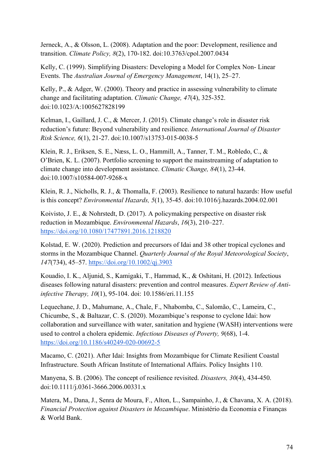Jerneck, A., & Olsson, L. (2008). Adaptation and the poor: Development, resilience and transition. *Climate Policy, 8*(2), 170-182. doi:10.3763/cpol.2007.0434

Kelly, C. (1999). Simplifying Disasters: Developing a Model for Complex Non- Linear Events. The *Australian Journal of Emergency Management*, 14(1), 25–27.

Kelly, P., & Adger, W. (2000). Theory and practice in assessing vulnerability to climate change and facilitating adaptation. *Climatic Change, 47*(4), 325-352. doi:10.1023/A:1005627828199

Kelman, I., Gaillard, J. C., & Mercer, J. (2015). Climate change's role in disaster risk reduction's future: Beyond vulnerability and resilience. *International Journal of Disaster Risk Science, 6*(1), 21-27. doi:10.1007/s13753-015-0038-5

Klein, R. J., Eriksen, S. E., Næss, L. O., Hammill, A., Tanner, T. M., Robledo, C., & O'Brien, K. L. (2007). Portfolio screening to support the mainstreaming of adaptation to climate change into development assistance. *Climatic Change, 84*(1), 23-44. doi:10.1007/s10584-007-9268-x

Klein, R. J., Nicholls, R. J., & Thomalla, F. (2003). Resilience to natural hazards: How useful is this concept? *Environmental Hazards, 5*(1), 35-45. doi:10.1016/j.hazards.2004.02.001

Koivisto, J. E., & Nohrstedt, D. (2017). A policymaking perspective on disaster risk reduction in Mozambique. *Environmental Hazards*, *16*(3), 210–227. https://doi.org/10.1080/17477891.2016.1218820

Kolstad, E. W. (2020). Prediction and precursors of Idai and 38 other tropical cyclones and storms in the Mozambique Channel. *Quarterly Journal of the Royal Meteorological Society*, *147*(734), 45–57. https://doi.org/10.1002/qj.3903

Kouadio, I. K., Aljunid, S., Kamigaki, T., Hammad, K., & Oshitani, H. (2012). Infectious diseases following natural disasters: prevention and control measures. *Expert Review of Antiinfective Therapy, 10*(1), 95-104. doi: 10.1586/eri.11.155

Lequechane, J. D., Mahumane, A., Chale, F., Nhabomba, C., Salomão, C., Lameira, C., Chicumbe, S., & Baltazar, C. S. (2020). Mozambique's response to cyclone Idai: how collaboration and surveillance with water, sanitation and hygiene (WASH) interventions were used to control a cholera epidemic. *Infectious Diseases of Poverty, 9*(68), 1-4. https://doi.org/10.1186/s40249-020-00692-5

Macamo, C. (2021). After Idai: Insights from Mozambique for Climate Resilient Coastal Infrastructure. South African Institute of International Affairs. Policy Insights 110.

Manyena, S. B. (2006). The concept of resilience revisited. *Disasters, 30*(4), 434-450. doi:10.1111/j.0361-3666.2006.00331.x

Matera, M., Dana, J., Senra de Moura, F., Alton, L., Sampainho, J., & Chavana, X. A. (2018). *Financial Protection against Disasters in Mozambique*. Ministério da Economia e Finanças & World Bank.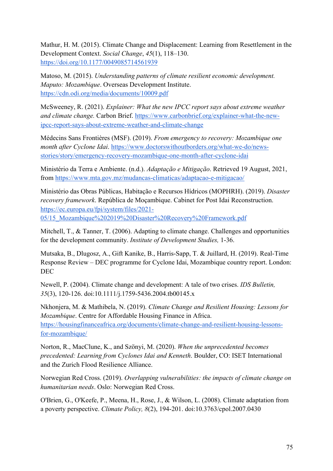Mathur, H. M. (2015). Climate Change and Displacement: Learning from Resettlement in the Development Context. *Social Change*, *45*(1), 118–130. https://doi.org/10.1177/0049085714561939

Matoso, M. (2015). *Understanding patterns of climate resilient economic development. Maputo: Mozambique*. Overseas Development Institute. https://cdn.odi.org/media/documents/10009.pdf

McSweeney, R. (2021). *Explainer: What the new IPCC report says about extreme weather and climate change.* Carbon Brief. https://www.carbonbrief.org/explainer-what-the-newipcc-report-says-about-extreme-weather-and-climate-change

Médecins Sans Frontières (MSF). (2019). *From emergency to recovery: Mozambique one month after Cyclone Idai*. https://www.doctorswithoutborders.org/what-we-do/newsstories/story/emergency-recovery-mozambique-one-month-after-cyclone-idai

Ministério da Terra e Ambiente. (n.d.). *Adaptação e Mitigação*. Retrieved 19 August, 2021, from https://www.mta.gov.mz/mudancas-climaticas/adaptacao-e-mitigacao/

Ministério das Obras Públicas, Habitação e Recursos Hídricos (MOPHRH). (2019). *Disaster recovery framework*. República de Moçambique. Cabinet for Post Idai Reconstruction. https://ec.europa.eu/fpi/system/files/2021- 05/15\_Mozambique%202019%20Disaster%20Recovery%20Framework.pdf

Mitchell, T., & Tanner, T. (2006). Adapting to climate change. Challenges and opportunities for the development community. *Institute of Development Studies,* 1-36.

Mutsaka, B., Dlugosz, A., Gift Kanike, B., Harris-Sapp, T. & Juillard, H. (2019). Real-Time Response Review – DEC programme for Cyclone Idai, Mozambique country report. London: DEC

Newell, P. (2004). Climate change and development: A tale of two crises. *IDS Bulletin, 35*(3), 120-126. doi:10.1111/j.1759-5436.2004.tb00145.x

Nkhonjera, M. & Mathibela, N. (2019). *Climate Change and Resilient Housing: Lessons for Mozambique*. Centre for Affordable Housing Finance in Africa. https://housingfinanceafrica.org/documents/climate-change-and-resilient-housing-lessonsfor-mozambique/

Norton, R., MacClune, K., and Szönyi, M. (2020). *When the unprecedented becomes precedented: Learning from Cyclones Idai and Kenneth*. Boulder, CO: ISET International and the Zurich Flood Resilience Alliance.

Norwegian Red Cross. (2019). *Overlapping vulnerabilities: the impacts of climate change on humanitarian needs*. Oslo: Norwegian Red Cross.

O'Brien, G., O'Keefe, P., Meena, H., Rose, J., & Wilson, L. (2008). Climate adaptation from a poverty perspective. *Climate Policy, 8*(2), 194-201. doi:10.3763/cpol.2007.0430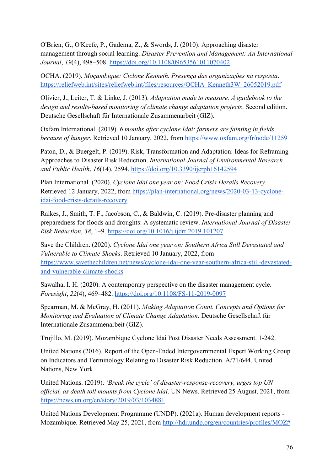O'Brien, G., O'Keefe, P., Gadema, Z., & Swords, J. (2010). Approaching disaster management through social learning. *Disaster Prevention and Management: An International Journal*, *19*(4), 498–508. https://doi.org/10.1108/09653561011070402

OCHA. (2019). *Moçambique: Ciclone Kenneth. Presença das organizações na resposta*. https://reliefweb.int/sites/reliefweb.int/files/resources/OCHA\_Kenneth3W\_26052019.pdf

Olivier, J., Leiter, T. & Linke, J. (2013). *Adaptation made to measure. A guidebook to the design and results-based monitoring of climate change adaptation projects*. Second edition. Deutsche Gesellschaft für Internationale Zusammenarbeit (GIZ).

Oxfam International. (2019). *6 months after cyclone Idai: farmers are fainting in fields because of hunger*. Retrieved 10 January, 2022, from https://www.oxfam.org/fr/node/11259

Paton, D., & Buergelt, P. (2019). Risk, Transformation and Adaptation: Ideas for Reframing Approaches to Disaster Risk Reduction. *International Journal of Environmental Research and Public Health*, *16*(14), 2594. https://doi.org/10.3390/ijerph16142594

Plan International. (2020). *Cyclone Idai one year on: Food Crisis Derails Recovery*. Retrieved 12 January, 2022, from https://plan-international.org/news/2020-03-13-cycloneidai-food-crisis-derails-recovery

Raikes, J., Smith, T. F., Jacobson, C., & Baldwin, C. (2019). Pre-disaster planning and preparedness for floods and droughts: A systematic review. *International Journal of Disaster Risk Reduction*, *38*, 1–9. https://doi.org/10.1016/j.ijdrr.2019.101207

Save the Children. (2020). *Cyclone Idai one year on: Southern Africa Still Devastated and Vulnerable to Climate Shocks*. Retrieved 10 January, 2022, from https://www.savethechildren.net/news/cyclone-idai-one-year-southern-africa-still-devastatedand-vulnerable-climate-shocks

Sawalha, I. H. (2020). A contemporary perspective on the disaster management cycle. *Foresight*, *22*(4), 469–482. https://doi.org/10.1108/FS-11-2019-0097

Spearman, M. & McGray, H. (2011). *Making Adaptation Count. Concepts and Options for Monitoring and Evaluation of Climate Change Adaptation*. Deutsche Gesellschaft für Internationale Zusammenarbeit (GIZ).

Trujillo, M. (2019). Mozambique Cyclone Idai Post Disaster Needs Assessment. 1-242.

United Nations (2016). Report of the Open-Ended Intergovernmental Expert Working Group on Indicators and Terminology Relating to Disaster Risk Reduction. A/71/644, United Nations, New York

United Nations. (2019). *'Break the cycle' of disaster-response-recovery, urges top UN official, as death toll mounts from Cyclone Idai*. UN News. Retrieved 25 August, 2021, from https://news.un.org/en/story/2019/03/1034881

United Nations Development Programme (UNDP). (2021a). Human development reports - Mozambique. Retrieved May 25, 2021, from http://hdr.undp.org/en/countries/profiles/MOZ#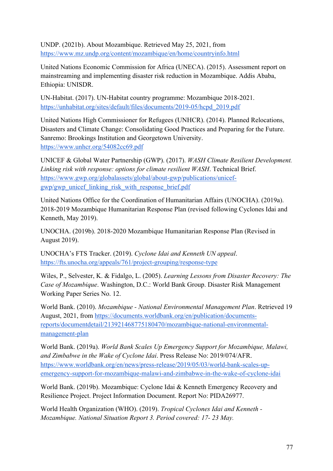UNDP. (2021b). About Mozambique. Retrieved May 25, 2021, from https://www.mz.undp.org/content/mozambique/en/home/countryinfo.html

United Nations Economic Commission for Africa (UNECA). (2015). Assessment report on mainstreaming and implementing disaster risk reduction in Mozambique. Addis Ababa, Ethiopia: UNISDR.

UN-Habitat. (2017). UN-Habitat country programme: Mozambique 2018-2021. https://unhabitat.org/sites/default/files/documents/2019-05/hcpd\_2019.pdf

United Nations High Commissioner for Refugees (UNHCR). (2014). Planned Relocations, Disasters and Climate Change: Consolidating Good Practices and Preparing for the Future. Sanremo: Brookings Institution and Georgetown University. https://www.unhcr.org/54082cc69.pdf

UNICEF & Global Water Partnership (GWP). (2017). *WASH Climate Resilient Development. Linking risk with response: options for climate resilient WASH*. Technical Brief. https://www.gwp.org/globalassets/global/about-gwp/publications/unicefgwp/gwp\_unicef\_linking\_risk\_with\_response\_brief.pdf

United Nations Office for the Coordination of Humanitarian Affairs (UNOCHA). (2019a). 2018-2019 Mozambique Humanitarian Response Plan (revised following Cyclones Idai and Kenneth, May 2019).

UNOCHA. (2019b). 2018-2020 Mozambique Humanitarian Response Plan (Revised in August 2019).

UNOCHA's FTS Tracker. (2019). *Cyclone Idai and Kenneth UN appeal*. https://fts.unocha.org/appeals/761/project-grouping/response-type

Wiles, P., Selvester, K. & Fidalgo, L. (2005). *Learning Lessons from Disaster Recovery: The Case of Mozambique*. Washington, D.C.: World Bank Group. Disaster Risk Management Working Paper Series No. 12.

World Bank. (2010). *Mozambique - National Environmental Management Plan*. Retrieved 19 August, 2021, from https://documents.worldbank.org/en/publication/documentsreports/documentdetail/213921468775180470/mozambique-national-environmentalmanagement-plan

World Bank. (2019a). *World Bank Scales Up Emergency Support for Mozambique, Malawi, and Zimbabwe in the Wake of Cyclone Idai*. Press Release No: 2019/074/AFR. https://www.worldbank.org/en/news/press-release/2019/05/03/world-bank-scales-upemergency-support-for-mozambique-malawi-and-zimbabwe-in-the-wake-of-cyclone-idai

World Bank. (2019b). Mozambique: Cyclone Idai & Kenneth Emergency Recovery and Resilience Project. Project Information Document. Report No: PIDA26977.

World Health Organization (WHO). (2019). *Tropical Cyclones Idai and Kenneth - Mozambique. National Situation Report 3. Period covered: 17- 23 May.*